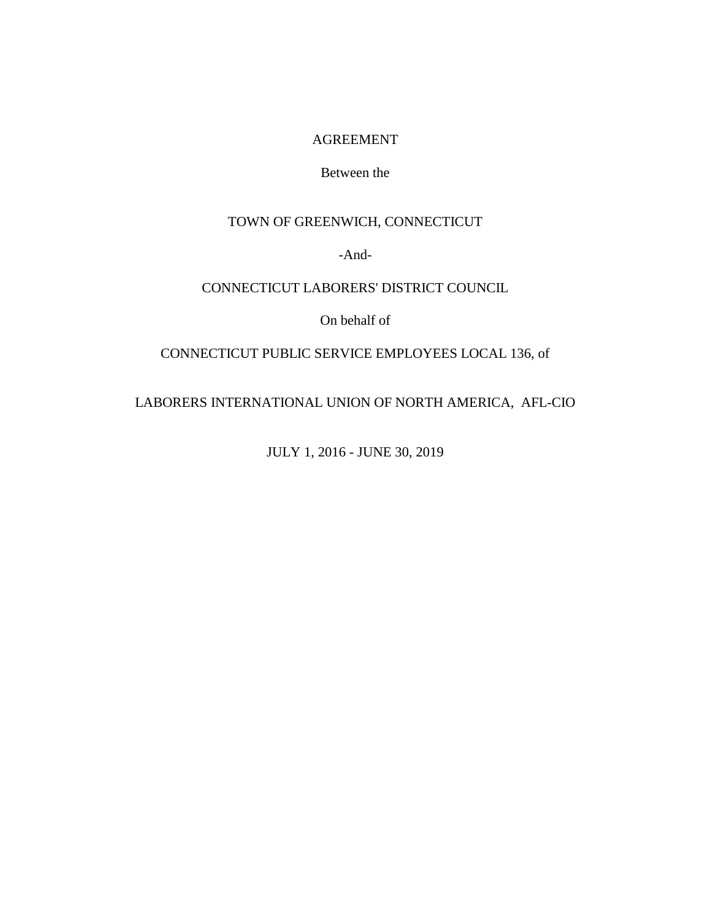#### AGREEMENT

### Between the

## TOWN OF GREENWICH, CONNECTICUT

-And-

### CONNECTICUT LABORERS' DISTRICT COUNCIL

On behalf of

#### CONNECTICUT PUBLIC SERVICE EMPLOYEES LOCAL 136, of

LABORERS INTERNATIONAL UNION OF NORTH AMERICA, AFL-CIO

JULY 1, 2016 - JUNE 30, 2019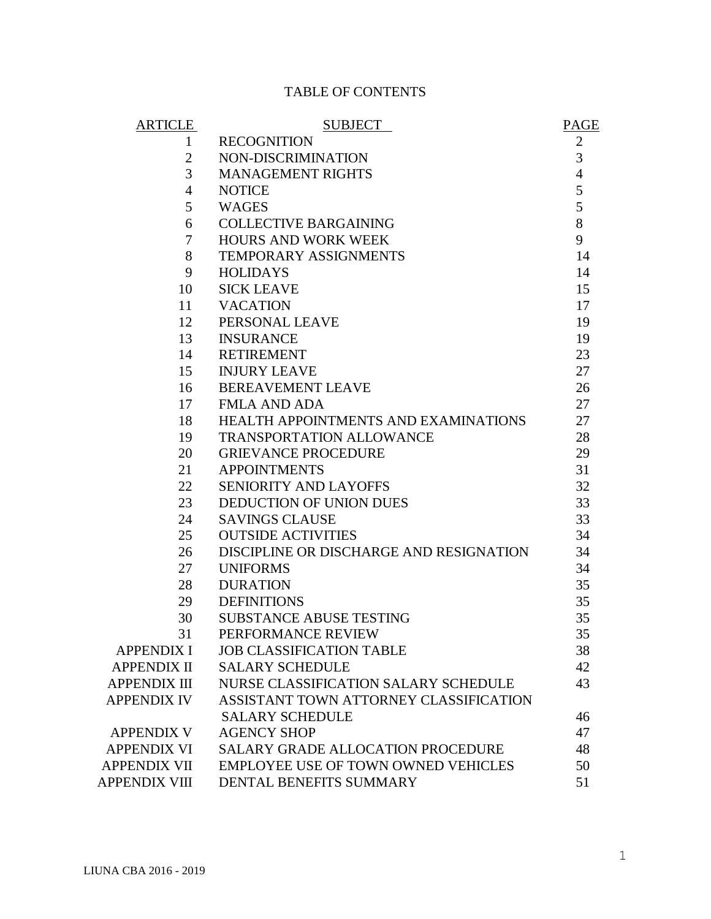# TABLE OF CONTENTS

| <b>ARTICLE</b>       | <b>SUBJECT</b>                             | <b>PAGE</b>    |
|----------------------|--------------------------------------------|----------------|
| 1                    | <b>RECOGNITION</b>                         | $\overline{2}$ |
| $\overline{2}$       | NON-DISCRIMINATION                         | 3              |
| 3                    | <b>MANAGEMENT RIGHTS</b>                   | $\overline{4}$ |
| $\overline{4}$       | <b>NOTICE</b>                              | 5              |
| 5                    | <b>WAGES</b>                               | 5              |
| 6                    | <b>COLLECTIVE BARGAINING</b>               | 8              |
| $\overline{7}$       | <b>HOURS AND WORK WEEK</b>                 | 9              |
| 8                    | TEMPORARY ASSIGNMENTS                      | 14             |
| 9                    | <b>HOLIDAYS</b>                            | 14             |
| 10                   | <b>SICK LEAVE</b>                          | 15             |
| 11                   | <b>VACATION</b>                            | 17             |
| 12                   | PERSONAL LEAVE                             | 19             |
| 13                   | <b>INSURANCE</b>                           | 19             |
| 14                   | <b>RETIREMENT</b>                          | 23             |
| 15                   | <b>INJURY LEAVE</b>                        | 27             |
| 16                   | <b>BEREAVEMENT LEAVE</b>                   | 26             |
| 17                   | <b>FMLA AND ADA</b>                        | 27             |
| 18                   | HEALTH APPOINTMENTS AND EXAMINATIONS       | 27             |
| 19                   | <b>TRANSPORTATION ALLOWANCE</b>            | 28             |
| 20                   | <b>GRIEVANCE PROCEDURE</b>                 | 29             |
| 21                   | <b>APPOINTMENTS</b>                        | 31             |
| 22                   | <b>SENIORITY AND LAYOFFS</b>               | 32             |
| 23                   | DEDUCTION OF UNION DUES                    | 33             |
| 24                   | <b>SAVINGS CLAUSE</b>                      | 33             |
| 25                   | <b>OUTSIDE ACTIVITIES</b>                  | 34             |
| 26                   | DISCIPLINE OR DISCHARGE AND RESIGNATION    | 34             |
| 27                   | <b>UNIFORMS</b>                            | 34             |
| 28                   | <b>DURATION</b>                            | 35             |
| 29                   | <b>DEFINITIONS</b>                         | 35             |
| 30                   | SUBSTANCE ABUSE TESTING                    | 35             |
| 31                   | PERFORMANCE REVIEW                         | 35             |
| <b>APPENDIX I</b>    | <b>JOB CLASSIFICATION TABLE</b>            | 38             |
| <b>APPENDIX II</b>   | <b>SALARY SCHEDULE</b>                     | 42             |
| <b>APPENDIX III</b>  | NURSE CLASSIFICATION SALARY SCHEDULE       | 43             |
| <b>APPENDIX IV</b>   | ASSISTANT TOWN ATTORNEY CLASSIFICATION     |                |
|                      | <b>SALARY SCHEDULE</b>                     | 46             |
| <b>APPENDIX V</b>    | <b>AGENCY SHOP</b>                         | 47             |
| <b>APPENDIX VI</b>   | <b>SALARY GRADE ALLOCATION PROCEDURE</b>   | 48             |
| <b>APPENDIX VII</b>  | <b>EMPLOYEE USE OF TOWN OWNED VEHICLES</b> | 50             |
| <b>APPENDIX VIII</b> | DENTAL BENEFITS SUMMARY                    | 51             |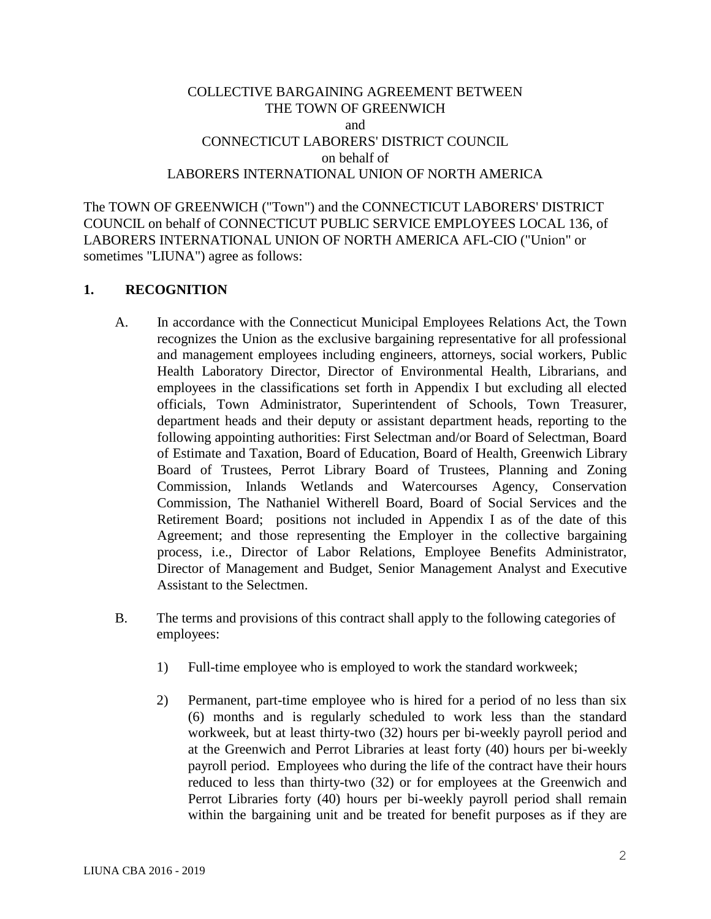### COLLECTIVE BARGAINING AGREEMENT BETWEEN THE TOWN OF GREENWICH and CONNECTICUT LABORERS' DISTRICT COUNCIL on behalf of LABORERS INTERNATIONAL UNION OF NORTH AMERICA

The TOWN OF GREENWICH ("Town") and the CONNECTICUT LABORERS' DISTRICT COUNCIL on behalf of CONNECTICUT PUBLIC SERVICE EMPLOYEES LOCAL 136, of LABORERS INTERNATIONAL UNION OF NORTH AMERICA AFL-CIO ("Union" or sometimes "LIUNA") agree as follows:

#### **1. RECOGNITION**

- A. In accordance with the Connecticut Municipal Employees Relations Act, the Town recognizes the Union as the exclusive bargaining representative for all professional and management employees including engineers, attorneys, social workers, Public Health Laboratory Director, Director of Environmental Health, Librarians, and employees in the classifications set forth in Appendix I but excluding all elected officials, Town Administrator, Superintendent of Schools, Town Treasurer, department heads and their deputy or assistant department heads, reporting to the following appointing authorities: First Selectman and/or Board of Selectman, Board of Estimate and Taxation, Board of Education, Board of Health, Greenwich Library Board of Trustees, Perrot Library Board of Trustees, Planning and Zoning Commission, Inlands Wetlands and Watercourses Agency, Conservation Commission, The Nathaniel Witherell Board, Board of Social Services and the Retirement Board; positions not included in Appendix I as of the date of this Agreement; and those representing the Employer in the collective bargaining process, i.e., Director of Labor Relations, Employee Benefits Administrator, Director of Management and Budget, Senior Management Analyst and Executive Assistant to the Selectmen.
- B. The terms and provisions of this contract shall apply to the following categories of employees:
	- 1) Full-time employee who is employed to work the standard workweek;
	- 2) Permanent, part-time employee who is hired for a period of no less than six (6) months and is regularly scheduled to work less than the standard workweek, but at least thirty-two (32) hours per bi-weekly payroll period and at the Greenwich and Perrot Libraries at least forty (40) hours per bi-weekly payroll period. Employees who during the life of the contract have their hours reduced to less than thirty-two (32) or for employees at the Greenwich and Perrot Libraries forty (40) hours per bi-weekly payroll period shall remain within the bargaining unit and be treated for benefit purposes as if they are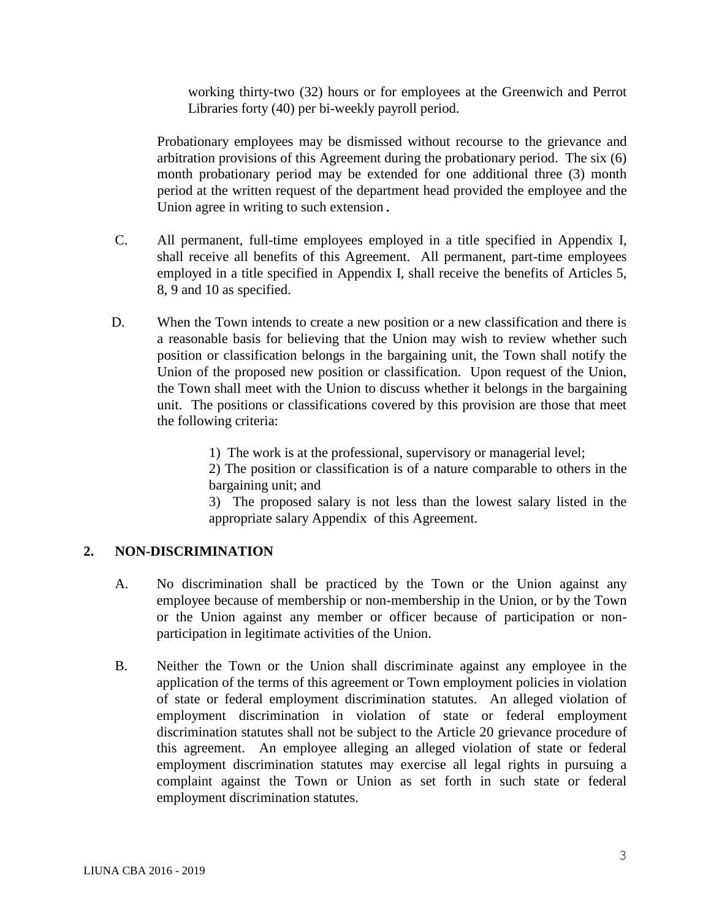working thirty-two (32) hours or for employees at the Greenwich and Perrot Libraries forty (40) per bi-weekly payroll period.

Probationary employees may be dismissed without recourse to the grievance and arbitration provisions of this Agreement during the probationary period. The six (6) month probationary period may be extended for one additional three (3) month period at the written request of the department head provided the employee and the Union agree in writing to such extension.

- C. All permanent, full-time employees employed in a title specified in Appendix I, shall receive all benefits of this Agreement. All permanent, part-time employees employed in a title specified in Appendix I, shall receive the benefits of Articles 5, 8, 9 and 10 as specified.
- D. When the Town intends to create a new position or a new classification and there is a reasonable basis for believing that the Union may wish to review whether such position or classification belongs in the bargaining unit, the Town shall notify the Union of the proposed new position or classification. Upon request of the Union, the Town shall meet with the Union to discuss whether it belongs in the bargaining unit. The positions or classifications covered by this provision are those that meet the following criteria:

1) The work is at the professional, supervisory or managerial level;

2) The position or classification is of a nature comparable to others in the bargaining unit; and

3) The proposed salary is not less than the lowest salary listed in the appropriate salary Appendix of this Agreement.

## **2. NON-DISCRIMINATION**

- A. No discrimination shall be practiced by the Town or the Union against any employee because of membership or non-membership in the Union, or by the Town or the Union against any member or officer because of participation or nonparticipation in legitimate activities of the Union.
- B. Neither the Town or the Union shall discriminate against any employee in the application of the terms of this agreement or Town employment policies in violation of state or federal employment discrimination statutes. An alleged violation of employment discrimination in violation of state or federal employment discrimination statutes shall not be subject to the Article 20 grievance procedure of this agreement. An employee alleging an alleged violation of state or federal employment discrimination statutes may exercise all legal rights in pursuing a complaint against the Town or Union as set forth in such state or federal employment discrimination statutes.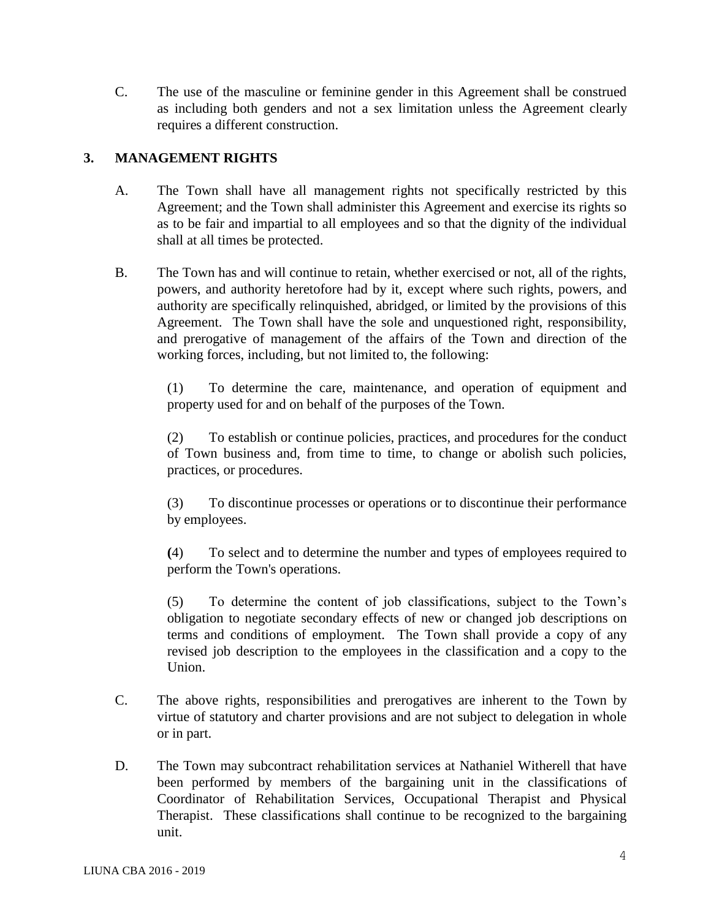C. The use of the masculine or feminine gender in this Agreement shall be construed as including both genders and not a sex limitation unless the Agreement clearly requires a different construction.

## **3. MANAGEMENT RIGHTS**

- A. The Town shall have all management rights not specifically restricted by this Agreement; and the Town shall administer this Agreement and exercise its rights so as to be fair and impartial to all employees and so that the dignity of the individual shall at all times be protected.
- B. The Town has and will continue to retain, whether exercised or not, all of the rights, powers, and authority heretofore had by it, except where such rights, powers, and authority are specifically relinquished, abridged, or limited by the provisions of this Agreement. The Town shall have the sole and unquestioned right, responsibility, and prerogative of management of the affairs of the Town and direction of the working forces, including, but not limited to, the following:

(1) To determine the care, maintenance, and operation of equipment and property used for and on behalf of the purposes of the Town.

(2) To establish or continue policies, practices, and procedures for the conduct of Town business and, from time to time, to change or abolish such policies, practices, or procedures.

(3) To discontinue processes or operations or to discontinue their performance by employees.

**(**4) To select and to determine the number and types of employees required to perform the Town's operations.

(5) To determine the content of job classifications, subject to the Town's obligation to negotiate secondary effects of new or changed job descriptions on terms and conditions of employment. The Town shall provide a copy of any revised job description to the employees in the classification and a copy to the Union.

- C. The above rights, responsibilities and prerogatives are inherent to the Town by virtue of statutory and charter provisions and are not subject to delegation in whole or in part.
- D. The Town may subcontract rehabilitation services at Nathaniel Witherell that have been performed by members of the bargaining unit in the classifications of Coordinator of Rehabilitation Services, Occupational Therapist and Physical Therapist. These classifications shall continue to be recognized to the bargaining unit.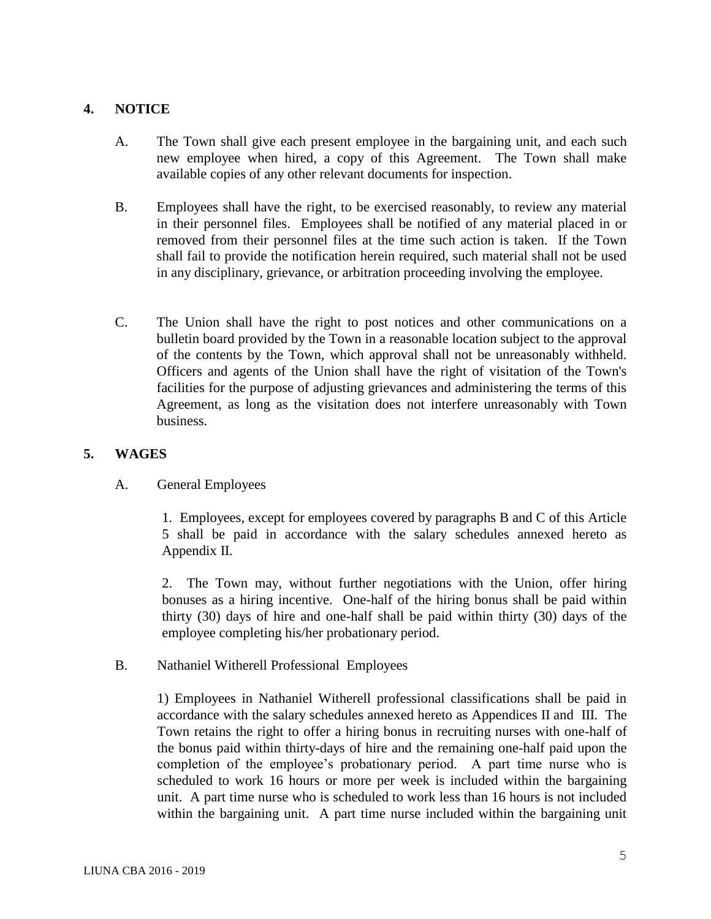## **4. NOTICE**

- A. The Town shall give each present employee in the bargaining unit, and each such new employee when hired, a copy of this Agreement. The Town shall make available copies of any other relevant documents for inspection.
- B. Employees shall have the right, to be exercised reasonably, to review any material in their personnel files. Employees shall be notified of any material placed in or removed from their personnel files at the time such action is taken. If the Town shall fail to provide the notification herein required, such material shall not be used in any disciplinary, grievance, or arbitration proceeding involving the employee.
- C. The Union shall have the right to post notices and other communications on a bulletin board provided by the Town in a reasonable location subject to the approval of the contents by the Town, which approval shall not be unreasonably withheld. Officers and agents of the Union shall have the right of visitation of the Town's facilities for the purpose of adjusting grievances and administering the terms of this Agreement, as long as the visitation does not interfere unreasonably with Town business.

## **5. WAGES**

A. General Employees

1. Employees, except for employees covered by paragraphs B and C of this Article 5 shall be paid in accordance with the salary schedules annexed hereto as Appendix II.

2. The Town may, without further negotiations with the Union, offer hiring bonuses as a hiring incentive. One-half of the hiring bonus shall be paid within thirty (30) days of hire and one-half shall be paid within thirty (30) days of the employee completing his/her probationary period.

B. Nathaniel Witherell Professional Employees

1) Employees in Nathaniel Witherell professional classifications shall be paid in accordance with the salary schedules annexed hereto as Appendices II and III. The Town retains the right to offer a hiring bonus in recruiting nurses with one-half of the bonus paid within thirty-days of hire and the remaining one-half paid upon the completion of the employee's probationary period. A part time nurse who is scheduled to work 16 hours or more per week is included within the bargaining unit. A part time nurse who is scheduled to work less than 16 hours is not included within the bargaining unit. A part time nurse included within the bargaining unit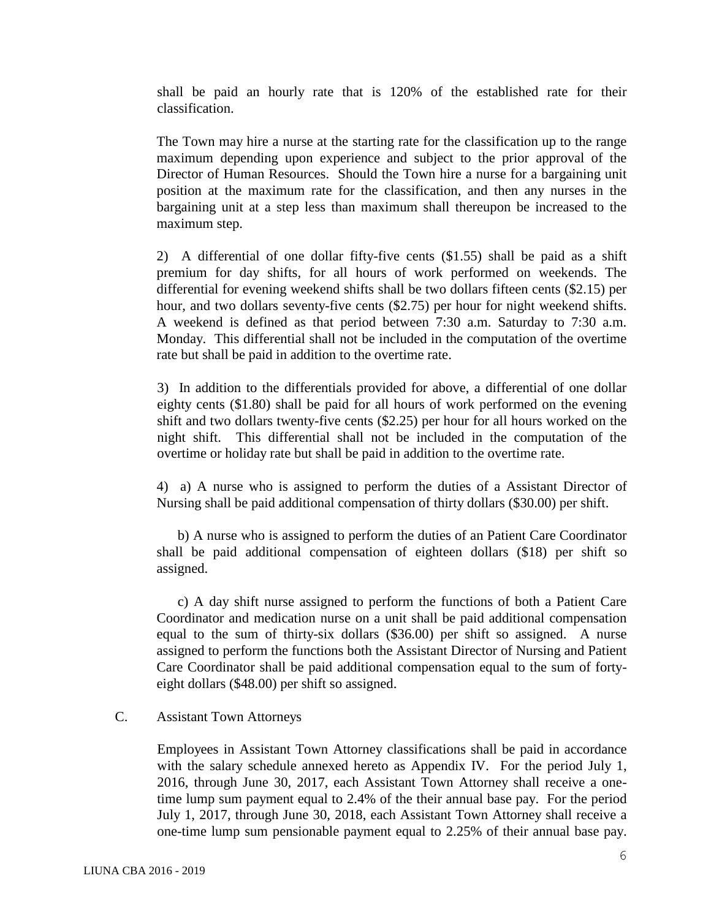shall be paid an hourly rate that is 120% of the established rate for their classification.

The Town may hire a nurse at the starting rate for the classification up to the range maximum depending upon experience and subject to the prior approval of the Director of Human Resources. Should the Town hire a nurse for a bargaining unit position at the maximum rate for the classification, and then any nurses in the bargaining unit at a step less than maximum shall thereupon be increased to the maximum step.

2) A differential of one dollar fifty-five cents (\$1.55) shall be paid as a shift premium for day shifts, for all hours of work performed on weekends. The differential for evening weekend shifts shall be two dollars fifteen cents (\$2.15) per hour, and two dollars seventy-five cents (\$2.75) per hour for night weekend shifts. A weekend is defined as that period between 7:30 a.m. Saturday to 7:30 a.m. Monday. This differential shall not be included in the computation of the overtime rate but shall be paid in addition to the overtime rate.

3) In addition to the differentials provided for above, a differential of one dollar eighty cents (\$1.80) shall be paid for all hours of work performed on the evening shift and two dollars twenty-five cents (\$2.25) per hour for all hours worked on the night shift. This differential shall not be included in the computation of the overtime or holiday rate but shall be paid in addition to the overtime rate.

4) a) A nurse who is assigned to perform the duties of a Assistant Director of Nursing shall be paid additional compensation of thirty dollars (\$30.00) per shift.

b) A nurse who is assigned to perform the duties of an Patient Care Coordinator shall be paid additional compensation of eighteen dollars (\$18) per shift so assigned.

c) A day shift nurse assigned to perform the functions of both a Patient Care Coordinator and medication nurse on a unit shall be paid additional compensation equal to the sum of thirty-six dollars (\$36.00) per shift so assigned. A nurse assigned to perform the functions both the Assistant Director of Nursing and Patient Care Coordinator shall be paid additional compensation equal to the sum of fortyeight dollars (\$48.00) per shift so assigned.

### C. Assistant Town Attorneys

Employees in Assistant Town Attorney classifications shall be paid in accordance with the salary schedule annexed hereto as Appendix IV. For the period July 1, 2016, through June 30, 2017, each Assistant Town Attorney shall receive a onetime lump sum payment equal to 2.4% of the their annual base pay. For the period July 1, 2017, through June 30, 2018, each Assistant Town Attorney shall receive a one-time lump sum pensionable payment equal to 2.25% of their annual base pay.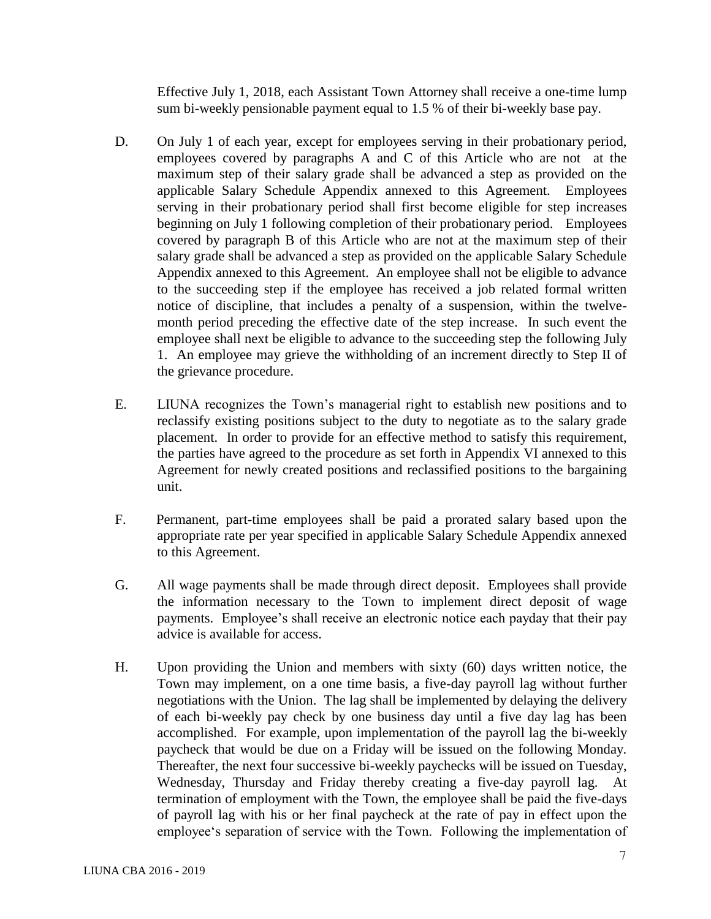Effective July 1, 2018, each Assistant Town Attorney shall receive a one-time lump sum bi-weekly pensionable payment equal to 1.5 % of their bi-weekly base pay.

- D. On July 1 of each year, except for employees serving in their probationary period, employees covered by paragraphs A and C of this Article who are not at the maximum step of their salary grade shall be advanced a step as provided on the applicable Salary Schedule Appendix annexed to this Agreement. Employees serving in their probationary period shall first become eligible for step increases beginning on July 1 following completion of their probationary period. Employees covered by paragraph B of this Article who are not at the maximum step of their salary grade shall be advanced a step as provided on the applicable Salary Schedule Appendix annexed to this Agreement. An employee shall not be eligible to advance to the succeeding step if the employee has received a job related formal written notice of discipline, that includes a penalty of a suspension, within the twelvemonth period preceding the effective date of the step increase. In such event the employee shall next be eligible to advance to the succeeding step the following July 1. An employee may grieve the withholding of an increment directly to Step II of the grievance procedure.
- E. LIUNA recognizes the Town's managerial right to establish new positions and to reclassify existing positions subject to the duty to negotiate as to the salary grade placement. In order to provide for an effective method to satisfy this requirement, the parties have agreed to the procedure as set forth in Appendix VI annexed to this Agreement for newly created positions and reclassified positions to the bargaining unit.
- F. Permanent, part-time employees shall be paid a prorated salary based upon the appropriate rate per year specified in applicable Salary Schedule Appendix annexed to this Agreement.
- G. All wage payments shall be made through direct deposit. Employees shall provide the information necessary to the Town to implement direct deposit of wage payments. Employee's shall receive an electronic notice each payday that their pay advice is available for access.
- H. Upon providing the Union and members with sixty (60) days written notice, the Town may implement, on a one time basis, a five-day payroll lag without further negotiations with the Union. The lag shall be implemented by delaying the delivery of each bi-weekly pay check by one business day until a five day lag has been accomplished. For example, upon implementation of the payroll lag the bi-weekly paycheck that would be due on a Friday will be issued on the following Monday. Thereafter, the next four successive bi-weekly paychecks will be issued on Tuesday, Wednesday, Thursday and Friday thereby creating a five-day payroll lag. At termination of employment with the Town, the employee shall be paid the five-days of payroll lag with his or her final paycheck at the rate of pay in effect upon the employee's separation of service with the Town. Following the implementation of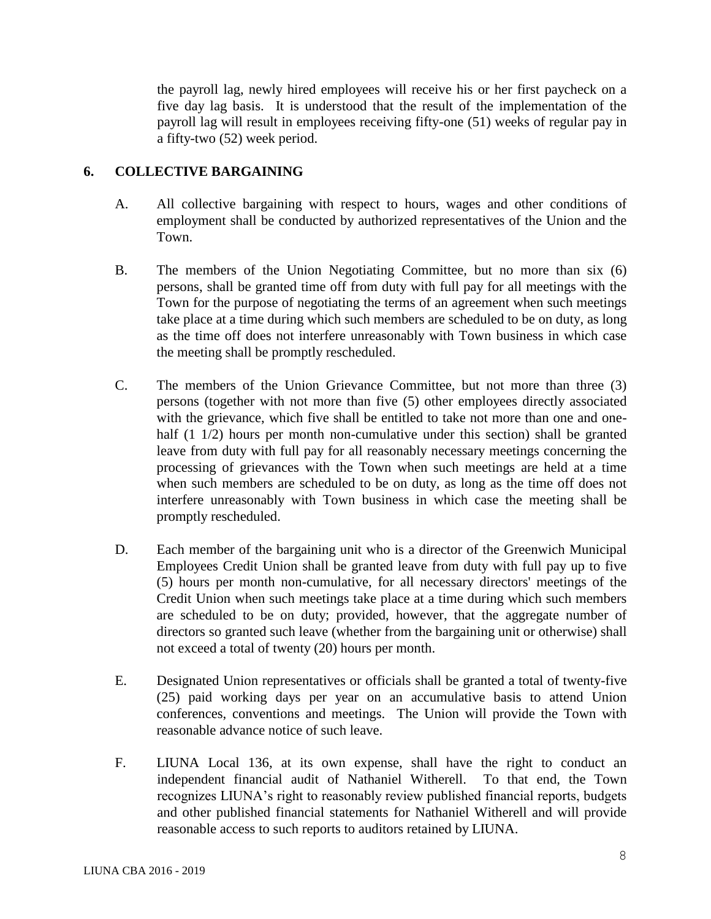the payroll lag, newly hired employees will receive his or her first paycheck on a five day lag basis. It is understood that the result of the implementation of the payroll lag will result in employees receiving fifty-one (51) weeks of regular pay in a fifty-two (52) week period.

### **6. COLLECTIVE BARGAINING**

- A. All collective bargaining with respect to hours, wages and other conditions of employment shall be conducted by authorized representatives of the Union and the Town.
- B. The members of the Union Negotiating Committee, but no more than six (6) persons, shall be granted time off from duty with full pay for all meetings with the Town for the purpose of negotiating the terms of an agreement when such meetings take place at a time during which such members are scheduled to be on duty, as long as the time off does not interfere unreasonably with Town business in which case the meeting shall be promptly rescheduled.
- C. The members of the Union Grievance Committee, but not more than three (3) persons (together with not more than five (5) other employees directly associated with the grievance, which five shall be entitled to take not more than one and onehalf (1 1/2) hours per month non-cumulative under this section) shall be granted leave from duty with full pay for all reasonably necessary meetings concerning the processing of grievances with the Town when such meetings are held at a time when such members are scheduled to be on duty, as long as the time off does not interfere unreasonably with Town business in which case the meeting shall be promptly rescheduled.
- D. Each member of the bargaining unit who is a director of the Greenwich Municipal Employees Credit Union shall be granted leave from duty with full pay up to five (5) hours per month non-cumulative, for all necessary directors' meetings of the Credit Union when such meetings take place at a time during which such members are scheduled to be on duty; provided, however, that the aggregate number of directors so granted such leave (whether from the bargaining unit or otherwise) shall not exceed a total of twenty (20) hours per month.
- E. Designated Union representatives or officials shall be granted a total of twenty-five (25) paid working days per year on an accumulative basis to attend Union conferences, conventions and meetings. The Union will provide the Town with reasonable advance notice of such leave.
- F. LIUNA Local 136, at its own expense, shall have the right to conduct an independent financial audit of Nathaniel Witherell. To that end, the Town recognizes LIUNA's right to reasonably review published financial reports, budgets and other published financial statements for Nathaniel Witherell and will provide reasonable access to such reports to auditors retained by LIUNA.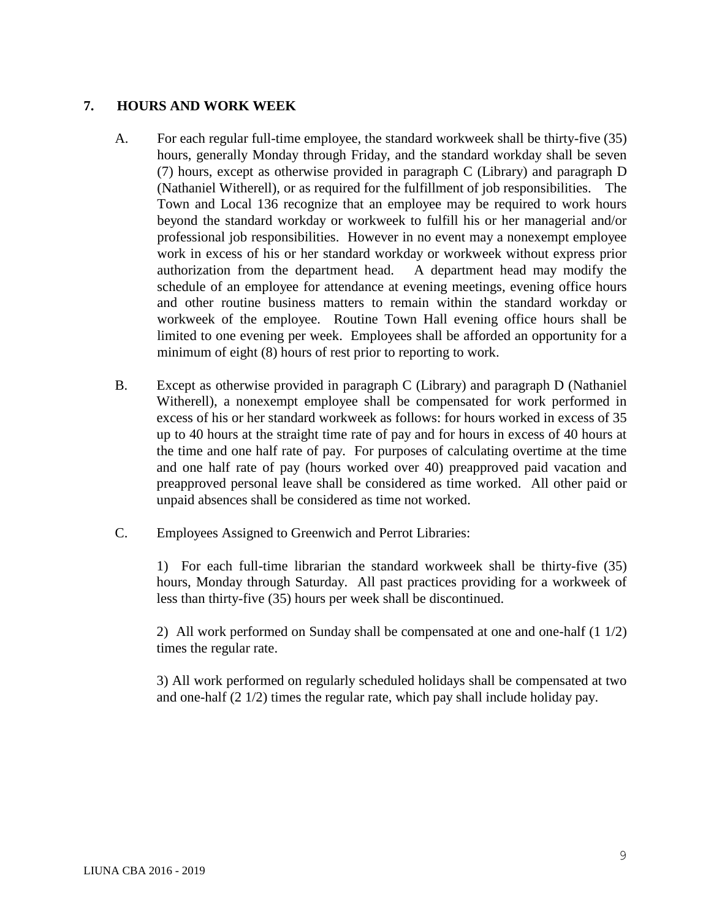### **7. HOURS AND WORK WEEK**

- A. For each regular full-time employee, the standard workweek shall be thirty-five (35) hours, generally Monday through Friday, and the standard workday shall be seven (7) hours, except as otherwise provided in paragraph C (Library) and paragraph D (Nathaniel Witherell), or as required for the fulfillment of job responsibilities. The Town and Local 136 recognize that an employee may be required to work hours beyond the standard workday or workweek to fulfill his or her managerial and/or professional job responsibilities. However in no event may a nonexempt employee work in excess of his or her standard workday or workweek without express prior authorization from the department head. A department head may modify the schedule of an employee for attendance at evening meetings, evening office hours and other routine business matters to remain within the standard workday or workweek of the employee. Routine Town Hall evening office hours shall be limited to one evening per week. Employees shall be afforded an opportunity for a minimum of eight (8) hours of rest prior to reporting to work.
- B. Except as otherwise provided in paragraph C (Library) and paragraph D (Nathaniel Witherell), a nonexempt employee shall be compensated for work performed in excess of his or her standard workweek as follows: for hours worked in excess of 35 up to 40 hours at the straight time rate of pay and for hours in excess of 40 hours at the time and one half rate of pay. For purposes of calculating overtime at the time and one half rate of pay (hours worked over 40) preapproved paid vacation and preapproved personal leave shall be considered as time worked. All other paid or unpaid absences shall be considered as time not worked.
- C. Employees Assigned to Greenwich and Perrot Libraries:

1) For each full-time librarian the standard workweek shall be thirty-five (35) hours, Monday through Saturday. All past practices providing for a workweek of less than thirty-five (35) hours per week shall be discontinued.

2) All work performed on Sunday shall be compensated at one and one-half (1 1/2) times the regular rate.

3) All work performed on regularly scheduled holidays shall be compensated at two and one-half (2 1/2) times the regular rate, which pay shall include holiday pay.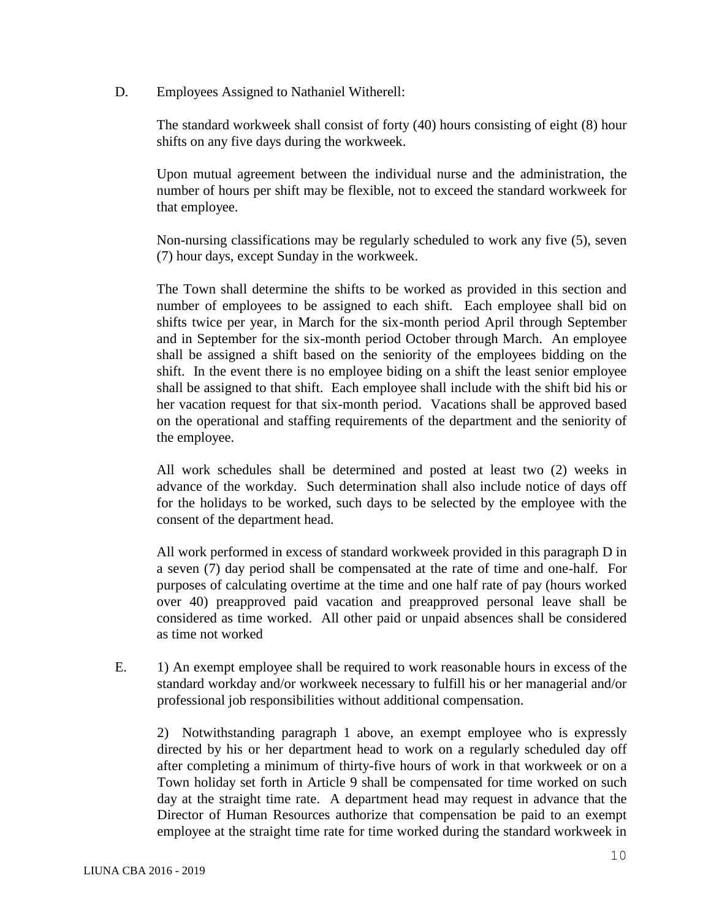D. Employees Assigned to Nathaniel Witherell:

The standard workweek shall consist of forty (40) hours consisting of eight (8) hour shifts on any five days during the workweek.

Upon mutual agreement between the individual nurse and the administration, the number of hours per shift may be flexible, not to exceed the standard workweek for that employee.

Non-nursing classifications may be regularly scheduled to work any five (5), seven (7) hour days, except Sunday in the workweek.

The Town shall determine the shifts to be worked as provided in this section and number of employees to be assigned to each shift. Each employee shall bid on shifts twice per year, in March for the six-month period April through September and in September for the six-month period October through March. An employee shall be assigned a shift based on the seniority of the employees bidding on the shift. In the event there is no employee biding on a shift the least senior employee shall be assigned to that shift. Each employee shall include with the shift bid his or her vacation request for that six-month period. Vacations shall be approved based on the operational and staffing requirements of the department and the seniority of the employee.

All work schedules shall be determined and posted at least two (2) weeks in advance of the workday. Such determination shall also include notice of days off for the holidays to be worked, such days to be selected by the employee with the consent of the department head.

All work performed in excess of standard workweek provided in this paragraph D in a seven (7) day period shall be compensated at the rate of time and one-half. For purposes of calculating overtime at the time and one half rate of pay (hours worked over 40) preapproved paid vacation and preapproved personal leave shall be considered as time worked. All other paid or unpaid absences shall be considered as time not worked

E. 1) An exempt employee shall be required to work reasonable hours in excess of the standard workday and/or workweek necessary to fulfill his or her managerial and/or professional job responsibilities without additional compensation.

2) Notwithstanding paragraph 1 above, an exempt employee who is expressly directed by his or her department head to work on a regularly scheduled day off after completing a minimum of thirty-five hours of work in that workweek or on a Town holiday set forth in Article 9 shall be compensated for time worked on such day at the straight time rate. A department head may request in advance that the Director of Human Resources authorize that compensation be paid to an exempt employee at the straight time rate for time worked during the standard workweek in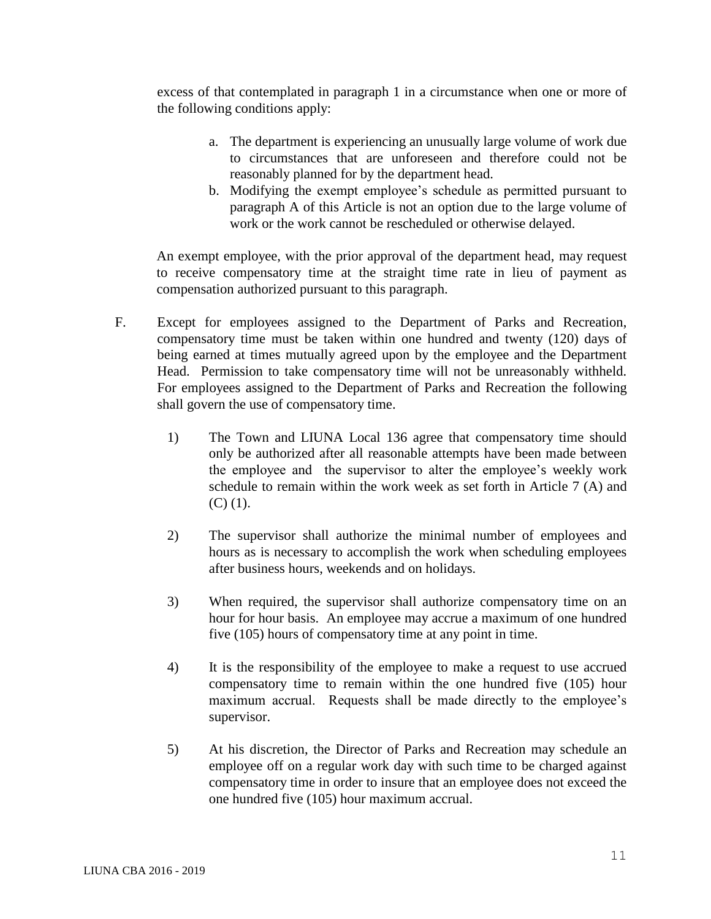excess of that contemplated in paragraph 1 in a circumstance when one or more of the following conditions apply:

- a. The department is experiencing an unusually large volume of work due to circumstances that are unforeseen and therefore could not be reasonably planned for by the department head.
- b. Modifying the exempt employee's schedule as permitted pursuant to paragraph A of this Article is not an option due to the large volume of work or the work cannot be rescheduled or otherwise delayed.

An exempt employee, with the prior approval of the department head, may request to receive compensatory time at the straight time rate in lieu of payment as compensation authorized pursuant to this paragraph.

- F. Except for employees assigned to the Department of Parks and Recreation, compensatory time must be taken within one hundred and twenty (120) days of being earned at times mutually agreed upon by the employee and the Department Head. Permission to take compensatory time will not be unreasonably withheld. For employees assigned to the Department of Parks and Recreation the following shall govern the use of compensatory time.
	- 1) The Town and LIUNA Local 136 agree that compensatory time should only be authorized after all reasonable attempts have been made between the employee and the supervisor to alter the employee's weekly work schedule to remain within the work week as set forth in Article 7 (A) and  $(C)$   $(1)$ .
	- 2) The supervisor shall authorize the minimal number of employees and hours as is necessary to accomplish the work when scheduling employees after business hours, weekends and on holidays.
	- 3) When required, the supervisor shall authorize compensatory time on an hour for hour basis. An employee may accrue a maximum of one hundred five (105) hours of compensatory time at any point in time.
	- 4) It is the responsibility of the employee to make a request to use accrued compensatory time to remain within the one hundred five (105) hour maximum accrual. Requests shall be made directly to the employee's supervisor.
	- 5) At his discretion, the Director of Parks and Recreation may schedule an employee off on a regular work day with such time to be charged against compensatory time in order to insure that an employee does not exceed the one hundred five (105) hour maximum accrual.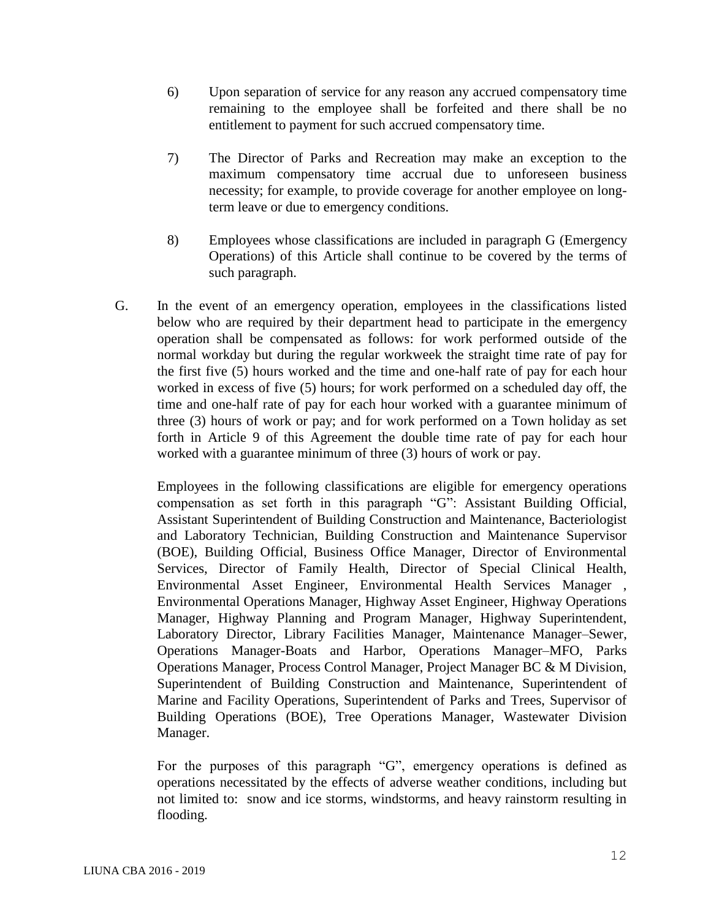- 6) Upon separation of service for any reason any accrued compensatory time remaining to the employee shall be forfeited and there shall be no entitlement to payment for such accrued compensatory time.
- 7) The Director of Parks and Recreation may make an exception to the maximum compensatory time accrual due to unforeseen business necessity; for example, to provide coverage for another employee on longterm leave or due to emergency conditions.
- 8) Employees whose classifications are included in paragraph G (Emergency Operations) of this Article shall continue to be covered by the terms of such paragraph.
- G. In the event of an emergency operation, employees in the classifications listed below who are required by their department head to participate in the emergency operation shall be compensated as follows: for work performed outside of the normal workday but during the regular workweek the straight time rate of pay for the first five (5) hours worked and the time and one-half rate of pay for each hour worked in excess of five (5) hours; for work performed on a scheduled day off, the time and one-half rate of pay for each hour worked with a guarantee minimum of three (3) hours of work or pay; and for work performed on a Town holiday as set forth in Article 9 of this Agreement the double time rate of pay for each hour worked with a guarantee minimum of three (3) hours of work or pay.

Employees in the following classifications are eligible for emergency operations compensation as set forth in this paragraph "G": Assistant Building Official, Assistant Superintendent of Building Construction and Maintenance, Bacteriologist and Laboratory Technician, Building Construction and Maintenance Supervisor (BOE), Building Official, Business Office Manager, Director of Environmental Services, Director of Family Health, Director of Special Clinical Health, Environmental Asset Engineer, Environmental Health Services Manager , Environmental Operations Manager, Highway Asset Engineer, Highway Operations Manager, Highway Planning and Program Manager, Highway Superintendent, Laboratory Director, Library Facilities Manager, Maintenance Manager–Sewer, Operations Manager-Boats and Harbor, Operations Manager–MFO, Parks Operations Manager, Process Control Manager, Project Manager BC & M Division, Superintendent of Building Construction and Maintenance, Superintendent of Marine and Facility Operations, Superintendent of Parks and Trees, Supervisor of Building Operations (BOE), Tree Operations Manager, Wastewater Division Manager.

For the purposes of this paragraph "G", emergency operations is defined as operations necessitated by the effects of adverse weather conditions, including but not limited to: snow and ice storms, windstorms, and heavy rainstorm resulting in flooding.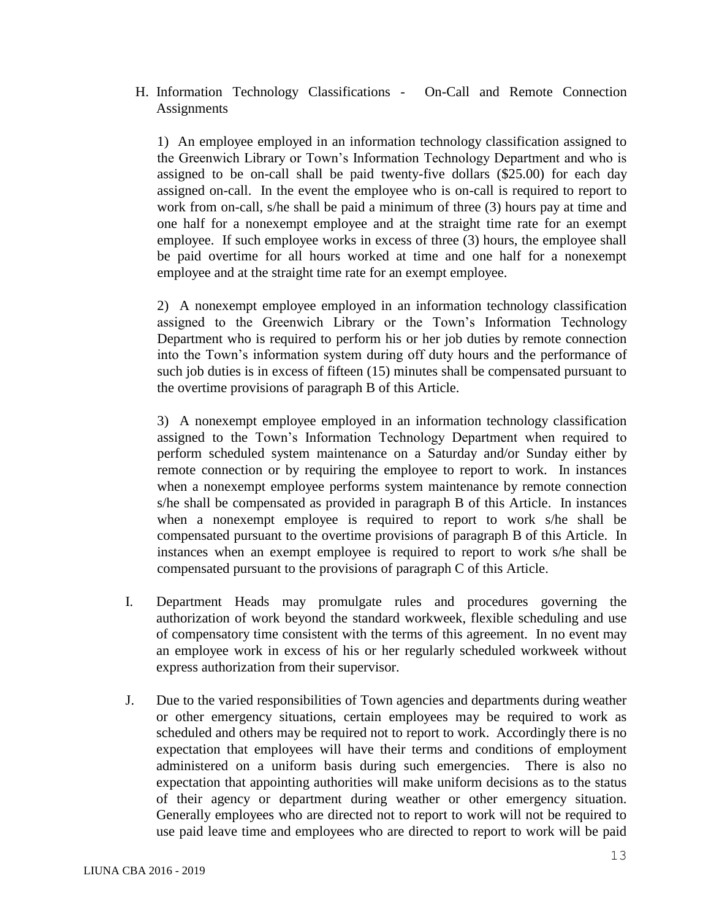H. Information Technology Classifications - On-Call and Remote Connection **Assignments** 

1) An employee employed in an information technology classification assigned to the Greenwich Library or Town's Information Technology Department and who is assigned to be on-call shall be paid twenty-five dollars (\$25.00) for each day assigned on-call. In the event the employee who is on-call is required to report to work from on-call, s/he shall be paid a minimum of three (3) hours pay at time and one half for a nonexempt employee and at the straight time rate for an exempt employee. If such employee works in excess of three (3) hours, the employee shall be paid overtime for all hours worked at time and one half for a nonexempt employee and at the straight time rate for an exempt employee.

2) A nonexempt employee employed in an information technology classification assigned to the Greenwich Library or the Town's Information Technology Department who is required to perform his or her job duties by remote connection into the Town's information system during off duty hours and the performance of such job duties is in excess of fifteen (15) minutes shall be compensated pursuant to the overtime provisions of paragraph B of this Article.

3) A nonexempt employee employed in an information technology classification assigned to the Town's Information Technology Department when required to perform scheduled system maintenance on a Saturday and/or Sunday either by remote connection or by requiring the employee to report to work. In instances when a nonexempt employee performs system maintenance by remote connection s/he shall be compensated as provided in paragraph B of this Article. In instances when a nonexempt employee is required to report to work s/he shall be compensated pursuant to the overtime provisions of paragraph B of this Article. In instances when an exempt employee is required to report to work s/he shall be compensated pursuant to the provisions of paragraph C of this Article.

- I. Department Heads may promulgate rules and procedures governing the authorization of work beyond the standard workweek, flexible scheduling and use of compensatory time consistent with the terms of this agreement. In no event may an employee work in excess of his or her regularly scheduled workweek without express authorization from their supervisor.
- J. Due to the varied responsibilities of Town agencies and departments during weather or other emergency situations, certain employees may be required to work as scheduled and others may be required not to report to work. Accordingly there is no expectation that employees will have their terms and conditions of employment administered on a uniform basis during such emergencies. There is also no expectation that appointing authorities will make uniform decisions as to the status of their agency or department during weather or other emergency situation. Generally employees who are directed not to report to work will not be required to use paid leave time and employees who are directed to report to work will be paid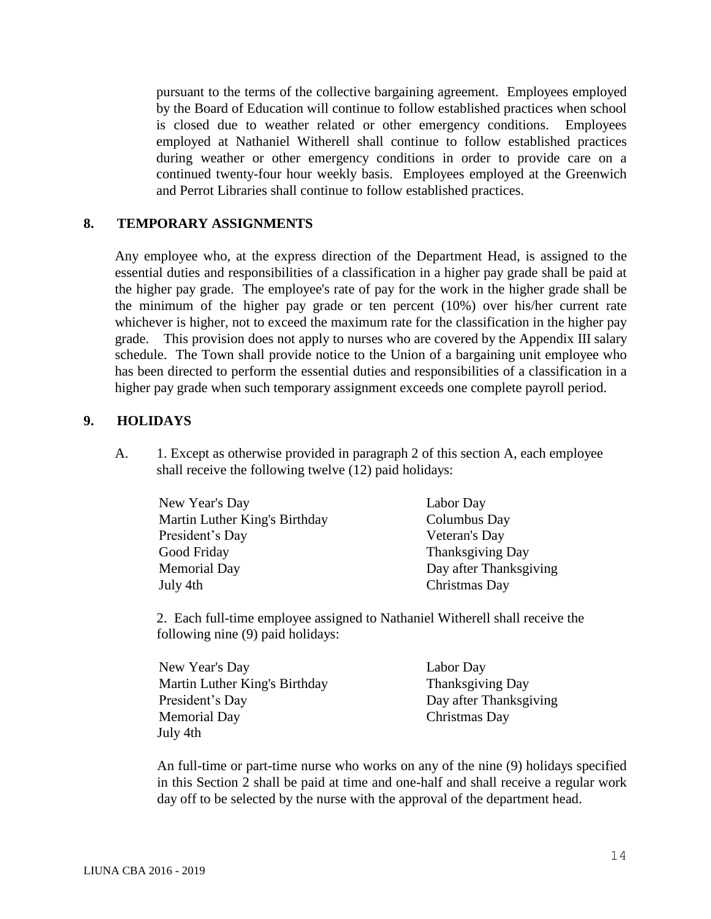pursuant to the terms of the collective bargaining agreement. Employees employed by the Board of Education will continue to follow established practices when school is closed due to weather related or other emergency conditions. Employees employed at Nathaniel Witherell shall continue to follow established practices during weather or other emergency conditions in order to provide care on a continued twenty-four hour weekly basis. Employees employed at the Greenwich and Perrot Libraries shall continue to follow established practices.

#### **8. TEMPORARY ASSIGNMENTS**

Any employee who, at the express direction of the Department Head, is assigned to the essential duties and responsibilities of a classification in a higher pay grade shall be paid at the higher pay grade. The employee's rate of pay for the work in the higher grade shall be the minimum of the higher pay grade or ten percent (10%) over his/her current rate whichever is higher, not to exceed the maximum rate for the classification in the higher pay grade. This provision does not apply to nurses who are covered by the Appendix III salary schedule. The Town shall provide notice to the Union of a bargaining unit employee who has been directed to perform the essential duties and responsibilities of a classification in a higher pay grade when such temporary assignment exceeds one complete payroll period.

### **9. HOLIDAYS**

A. 1. Except as otherwise provided in paragraph 2 of this section A, each employee shall receive the following twelve (12) paid holidays:

| New Year's Day                | Labor Day              |
|-------------------------------|------------------------|
| Martin Luther King's Birthday | Columbus Day           |
| President's Day               | Veteran's Day          |
| Good Friday                   | Thanksgiving Day       |
| <b>Memorial Day</b>           | Day after Thanksgiving |
| July 4th                      | Christmas Day          |

2. Each full-time employee assigned to Nathaniel Witherell shall receive the following nine (9) paid holidays:

| New Year's Day                | Labor Day              |
|-------------------------------|------------------------|
| Martin Luther King's Birthday | Thanksgiving Day       |
| President's Day               | Day after Thanksgiving |
| <b>Memorial Day</b>           | Christmas Day          |
| July 4th                      |                        |

An full-time or part-time nurse who works on any of the nine (9) holidays specified in this Section 2 shall be paid at time and one-half and shall receive a regular work day off to be selected by the nurse with the approval of the department head.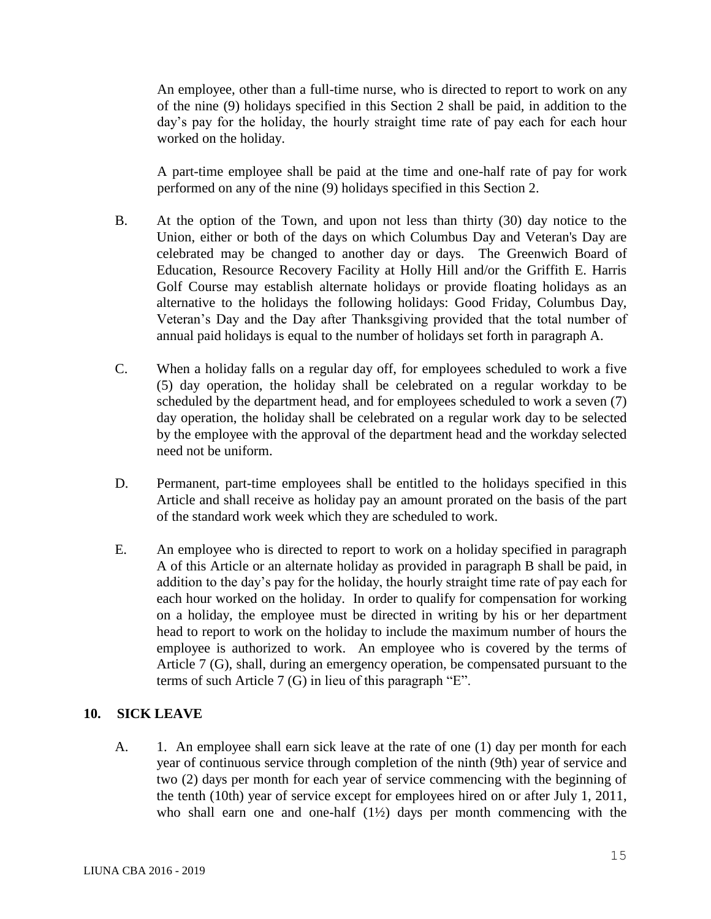An employee, other than a full-time nurse, who is directed to report to work on any of the nine (9) holidays specified in this Section 2 shall be paid, in addition to the day's pay for the holiday, the hourly straight time rate of pay each for each hour worked on the holiday.

A part-time employee shall be paid at the time and one-half rate of pay for work performed on any of the nine (9) holidays specified in this Section 2.

- B. At the option of the Town, and upon not less than thirty (30) day notice to the Union, either or both of the days on which Columbus Day and Veteran's Day are celebrated may be changed to another day or days. The Greenwich Board of Education, Resource Recovery Facility at Holly Hill and/or the Griffith E. Harris Golf Course may establish alternate holidays or provide floating holidays as an alternative to the holidays the following holidays: Good Friday, Columbus Day, Veteran's Day and the Day after Thanksgiving provided that the total number of annual paid holidays is equal to the number of holidays set forth in paragraph A.
- C. When a holiday falls on a regular day off, for employees scheduled to work a five (5) day operation, the holiday shall be celebrated on a regular workday to be scheduled by the department head, and for employees scheduled to work a seven (7) day operation, the holiday shall be celebrated on a regular work day to be selected by the employee with the approval of the department head and the workday selected need not be uniform.
- D. Permanent, part-time employees shall be entitled to the holidays specified in this Article and shall receive as holiday pay an amount prorated on the basis of the part of the standard work week which they are scheduled to work.
- E. An employee who is directed to report to work on a holiday specified in paragraph A of this Article or an alternate holiday as provided in paragraph B shall be paid, in addition to the day's pay for the holiday, the hourly straight time rate of pay each for each hour worked on the holiday. In order to qualify for compensation for working on a holiday, the employee must be directed in writing by his or her department head to report to work on the holiday to include the maximum number of hours the employee is authorized to work. An employee who is covered by the terms of Article 7 (G), shall, during an emergency operation, be compensated pursuant to the terms of such Article 7 (G) in lieu of this paragraph "E".

## **10. SICK LEAVE**

A. 1. An employee shall earn sick leave at the rate of one (1) day per month for each year of continuous service through completion of the ninth (9th) year of service and two (2) days per month for each year of service commencing with the beginning of the tenth (10th) year of service except for employees hired on or after July 1, 2011, who shall earn one and one-half (1½) days per month commencing with the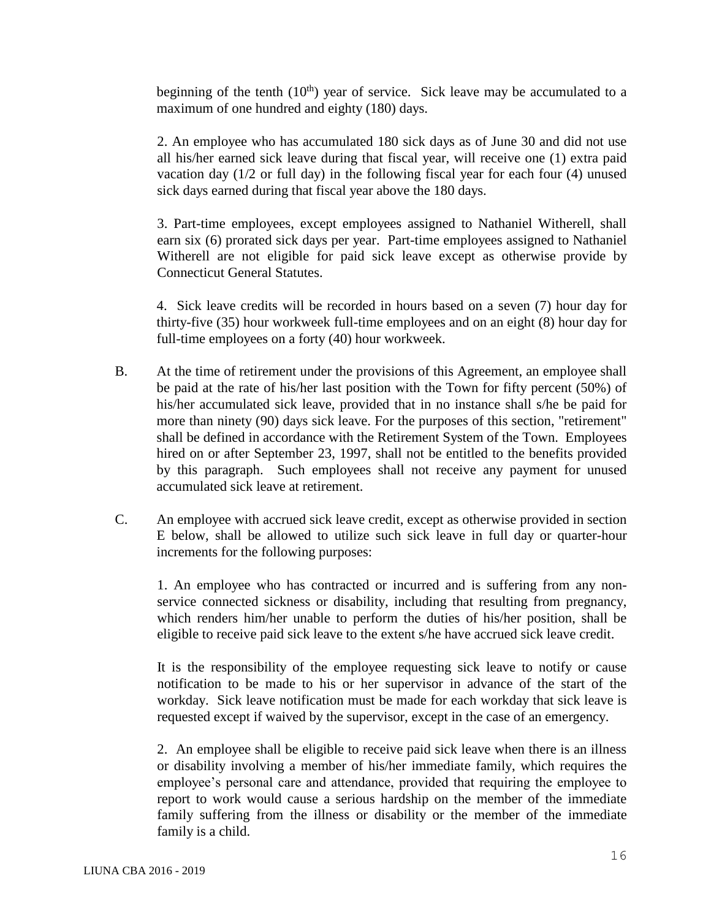beginning of the tenth  $(10<sup>th</sup>)$  year of service. Sick leave may be accumulated to a maximum of one hundred and eighty (180) days.

2. An employee who has accumulated 180 sick days as of June 30 and did not use all his/her earned sick leave during that fiscal year, will receive one (1) extra paid vacation day (1/2 or full day) in the following fiscal year for each four (4) unused sick days earned during that fiscal year above the 180 days.

3. Part-time employees, except employees assigned to Nathaniel Witherell, shall earn six (6) prorated sick days per year. Part-time employees assigned to Nathaniel Witherell are not eligible for paid sick leave except as otherwise provide by Connecticut General Statutes.

4. Sick leave credits will be recorded in hours based on a seven (7) hour day for thirty-five (35) hour workweek full-time employees and on an eight (8) hour day for full-time employees on a forty (40) hour workweek.

- B. At the time of retirement under the provisions of this Agreement, an employee shall be paid at the rate of his/her last position with the Town for fifty percent (50%) of his/her accumulated sick leave, provided that in no instance shall s/he be paid for more than ninety (90) days sick leave. For the purposes of this section, "retirement" shall be defined in accordance with the Retirement System of the Town. Employees hired on or after September 23, 1997, shall not be entitled to the benefits provided by this paragraph. Such employees shall not receive any payment for unused accumulated sick leave at retirement.
- C. An employee with accrued sick leave credit, except as otherwise provided in section E below, shall be allowed to utilize such sick leave in full day or quarter-hour increments for the following purposes:

1. An employee who has contracted or incurred and is suffering from any nonservice connected sickness or disability, including that resulting from pregnancy, which renders him/her unable to perform the duties of his/her position, shall be eligible to receive paid sick leave to the extent s/he have accrued sick leave credit.

It is the responsibility of the employee requesting sick leave to notify or cause notification to be made to his or her supervisor in advance of the start of the workday. Sick leave notification must be made for each workday that sick leave is requested except if waived by the supervisor, except in the case of an emergency.

2. An employee shall be eligible to receive paid sick leave when there is an illness or disability involving a member of his/her immediate family, which requires the employee's personal care and attendance, provided that requiring the employee to report to work would cause a serious hardship on the member of the immediate family suffering from the illness or disability or the member of the immediate family is a child.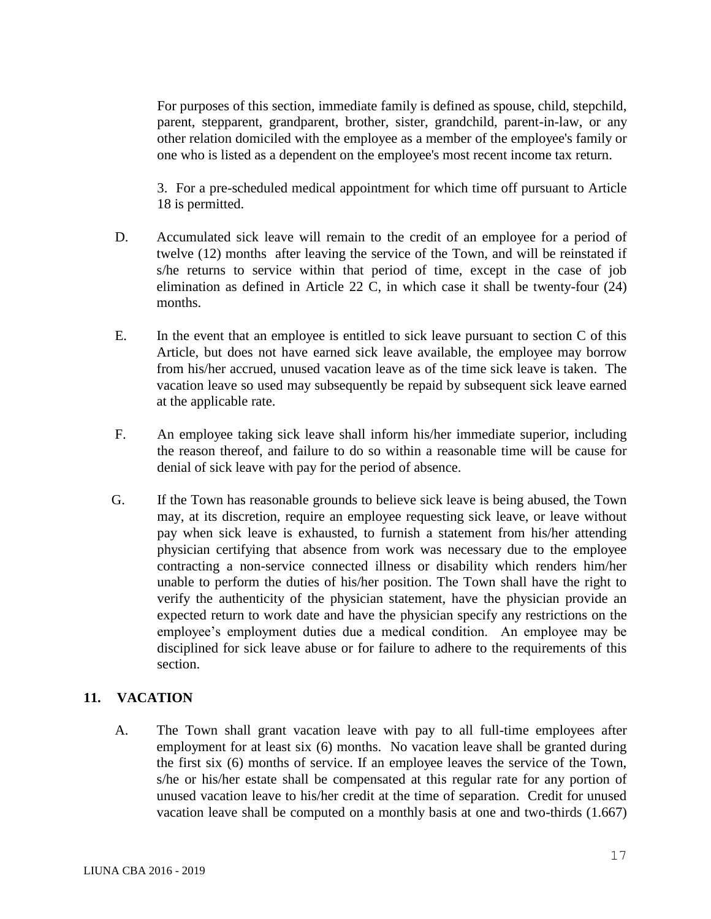For purposes of this section, immediate family is defined as spouse, child, stepchild, parent, stepparent, grandparent, brother, sister, grandchild, parent-in-law, or any other relation domiciled with the employee as a member of the employee's family or one who is listed as a dependent on the employee's most recent income tax return.

3. For a pre-scheduled medical appointment for which time off pursuant to Article 18 is permitted.

- D. Accumulated sick leave will remain to the credit of an employee for a period of twelve (12) months after leaving the service of the Town, and will be reinstated if s/he returns to service within that period of time, except in the case of job elimination as defined in Article 22 C, in which case it shall be twenty-four (24) months.
- E. In the event that an employee is entitled to sick leave pursuant to section C of this Article, but does not have earned sick leave available, the employee may borrow from his/her accrued, unused vacation leave as of the time sick leave is taken. The vacation leave so used may subsequently be repaid by subsequent sick leave earned at the applicable rate.
- F. An employee taking sick leave shall inform his/her immediate superior, including the reason thereof, and failure to do so within a reasonable time will be cause for denial of sick leave with pay for the period of absence.
- G. If the Town has reasonable grounds to believe sick leave is being abused, the Town may, at its discretion, require an employee requesting sick leave, or leave without pay when sick leave is exhausted, to furnish a statement from his/her attending physician certifying that absence from work was necessary due to the employee contracting a non-service connected illness or disability which renders him/her unable to perform the duties of his/her position. The Town shall have the right to verify the authenticity of the physician statement, have the physician provide an expected return to work date and have the physician specify any restrictions on the employee's employment duties due a medical condition. An employee may be disciplined for sick leave abuse or for failure to adhere to the requirements of this section.

## **11. VACATION**

A. The Town shall grant vacation leave with pay to all full-time employees after employment for at least six (6) months. No vacation leave shall be granted during the first six (6) months of service. If an employee leaves the service of the Town, s/he or his/her estate shall be compensated at this regular rate for any portion of unused vacation leave to his/her credit at the time of separation. Credit for unused vacation leave shall be computed on a monthly basis at one and two-thirds (1.667)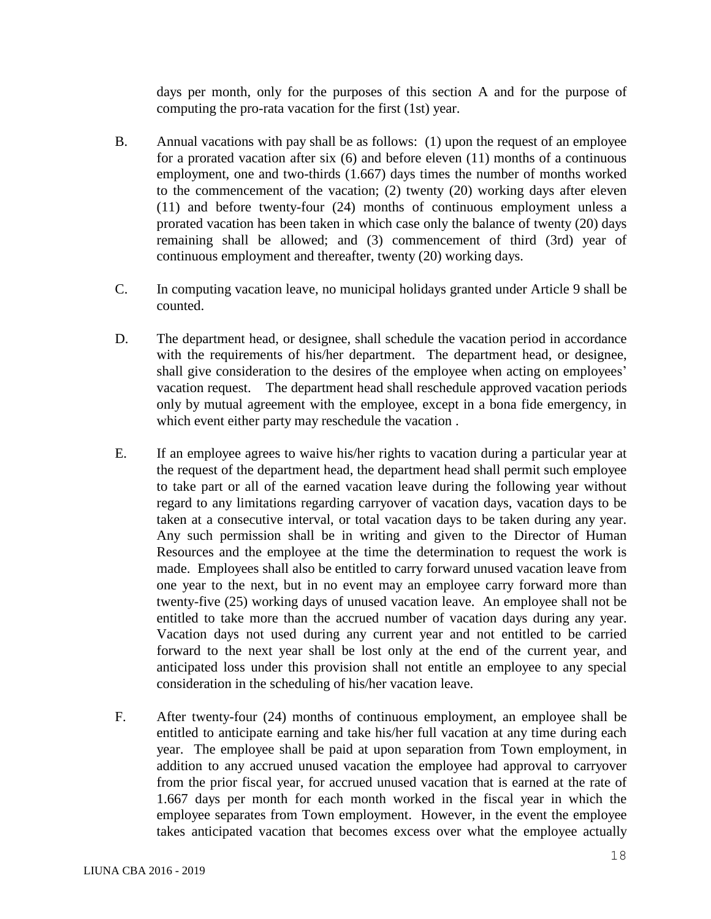days per month, only for the purposes of this section A and for the purpose of computing the pro-rata vacation for the first (1st) year.

- B. Annual vacations with pay shall be as follows: (1) upon the request of an employee for a prorated vacation after six (6) and before eleven (11) months of a continuous employment, one and two-thirds (1.667) days times the number of months worked to the commencement of the vacation; (2) twenty (20) working days after eleven (11) and before twenty-four (24) months of continuous employment unless a prorated vacation has been taken in which case only the balance of twenty (20) days remaining shall be allowed; and (3) commencement of third (3rd) year of continuous employment and thereafter, twenty (20) working days.
- C. In computing vacation leave, no municipal holidays granted under Article 9 shall be counted.
- D. The department head, or designee, shall schedule the vacation period in accordance with the requirements of his/her department. The department head, or designee, shall give consideration to the desires of the employee when acting on employees' vacation request. The department head shall reschedule approved vacation periods only by mutual agreement with the employee, except in a bona fide emergency, in which event either party may reschedule the vacation .
- E. If an employee agrees to waive his/her rights to vacation during a particular year at the request of the department head, the department head shall permit such employee to take part or all of the earned vacation leave during the following year without regard to any limitations regarding carryover of vacation days, vacation days to be taken at a consecutive interval, or total vacation days to be taken during any year. Any such permission shall be in writing and given to the Director of Human Resources and the employee at the time the determination to request the work is made. Employees shall also be entitled to carry forward unused vacation leave from one year to the next, but in no event may an employee carry forward more than twenty-five (25) working days of unused vacation leave. An employee shall not be entitled to take more than the accrued number of vacation days during any year. Vacation days not used during any current year and not entitled to be carried forward to the next year shall be lost only at the end of the current year, and anticipated loss under this provision shall not entitle an employee to any special consideration in the scheduling of his/her vacation leave.
- F. After twenty-four (24) months of continuous employment, an employee shall be entitled to anticipate earning and take his/her full vacation at any time during each year. The employee shall be paid at upon separation from Town employment, in addition to any accrued unused vacation the employee had approval to carryover from the prior fiscal year, for accrued unused vacation that is earned at the rate of 1.667 days per month for each month worked in the fiscal year in which the employee separates from Town employment. However, in the event the employee takes anticipated vacation that becomes excess over what the employee actually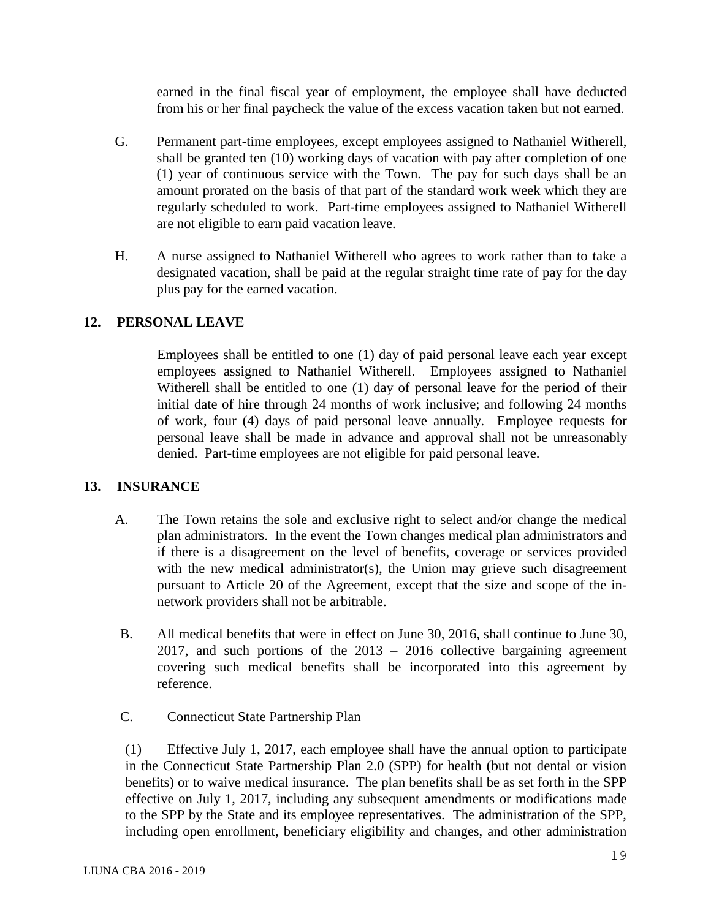earned in the final fiscal year of employment, the employee shall have deducted from his or her final paycheck the value of the excess vacation taken but not earned.

- G. Permanent part-time employees, except employees assigned to Nathaniel Witherell, shall be granted ten (10) working days of vacation with pay after completion of one (1) year of continuous service with the Town. The pay for such days shall be an amount prorated on the basis of that part of the standard work week which they are regularly scheduled to work. Part-time employees assigned to Nathaniel Witherell are not eligible to earn paid vacation leave.
- H. A nurse assigned to Nathaniel Witherell who agrees to work rather than to take a designated vacation, shall be paid at the regular straight time rate of pay for the day plus pay for the earned vacation.

## **12. PERSONAL LEAVE**

Employees shall be entitled to one (1) day of paid personal leave each year except employees assigned to Nathaniel Witherell. Employees assigned to Nathaniel Witherell shall be entitled to one (1) day of personal leave for the period of their initial date of hire through 24 months of work inclusive; and following 24 months of work, four (4) days of paid personal leave annually. Employee requests for personal leave shall be made in advance and approval shall not be unreasonably denied. Part-time employees are not eligible for paid personal leave.

## **13. INSURANCE**

- A. The Town retains the sole and exclusive right to select and/or change the medical plan administrators. In the event the Town changes medical plan administrators and if there is a disagreement on the level of benefits, coverage or services provided with the new medical administrator(s), the Union may grieve such disagreement pursuant to Article 20 of the Agreement, except that the size and scope of the innetwork providers shall not be arbitrable.
- B. All medical benefits that were in effect on June 30, 2016, shall continue to June 30, 2017, and such portions of the  $2013 - 2016$  collective bargaining agreement covering such medical benefits shall be incorporated into this agreement by reference.
- C. Connecticut State Partnership Plan

(1) Effective July 1, 2017, each employee shall have the annual option to participate in the Connecticut State Partnership Plan 2.0 (SPP) for health (but not dental or vision benefits) or to waive medical insurance. The plan benefits shall be as set forth in the SPP effective on July 1, 2017, including any subsequent amendments or modifications made to the SPP by the State and its employee representatives. The administration of the SPP, including open enrollment, beneficiary eligibility and changes, and other administration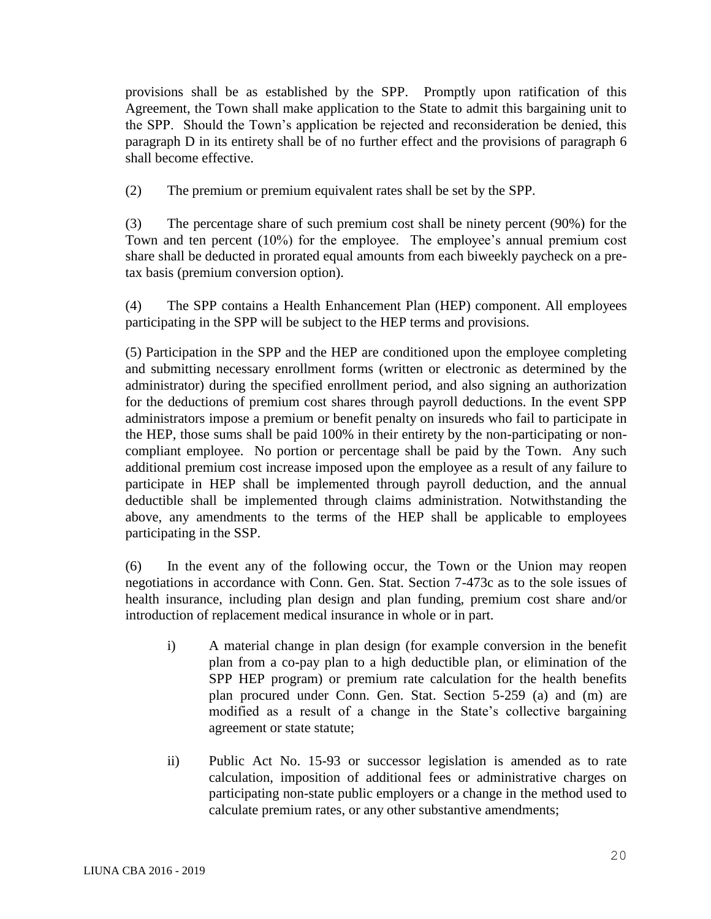provisions shall be as established by the SPP. Promptly upon ratification of this Agreement, the Town shall make application to the State to admit this bargaining unit to the SPP. Should the Town's application be rejected and reconsideration be denied, this paragraph D in its entirety shall be of no further effect and the provisions of paragraph 6 shall become effective.

(2) The premium or premium equivalent rates shall be set by the SPP.

(3) The percentage share of such premium cost shall be ninety percent (90%) for the Town and ten percent (10%) for the employee. The employee's annual premium cost share shall be deducted in prorated equal amounts from each biweekly paycheck on a pretax basis (premium conversion option).

(4) The SPP contains a Health Enhancement Plan (HEP) component. All employees participating in the SPP will be subject to the HEP terms and provisions.

(5) Participation in the SPP and the HEP are conditioned upon the employee completing and submitting necessary enrollment forms (written or electronic as determined by the administrator) during the specified enrollment period, and also signing an authorization for the deductions of premium cost shares through payroll deductions. In the event SPP administrators impose a premium or benefit penalty on insureds who fail to participate in the HEP, those sums shall be paid 100% in their entirety by the non-participating or noncompliant employee. No portion or percentage shall be paid by the Town. Any such additional premium cost increase imposed upon the employee as a result of any failure to participate in HEP shall be implemented through payroll deduction, and the annual deductible shall be implemented through claims administration. Notwithstanding the above, any amendments to the terms of the HEP shall be applicable to employees participating in the SSP.

(6) In the event any of the following occur, the Town or the Union may reopen negotiations in accordance with Conn. Gen. Stat. Section 7-473c as to the sole issues of health insurance, including plan design and plan funding, premium cost share and/or introduction of replacement medical insurance in whole or in part.

- i) A material change in plan design (for example conversion in the benefit plan from a co-pay plan to a high deductible plan, or elimination of the SPP HEP program) or premium rate calculation for the health benefits plan procured under Conn. Gen. Stat. Section 5-259 (a) and (m) are modified as a result of a change in the State's collective bargaining agreement or state statute;
- ii) Public Act No. 15-93 or successor legislation is amended as to rate calculation, imposition of additional fees or administrative charges on participating non-state public employers or a change in the method used to calculate premium rates, or any other substantive amendments;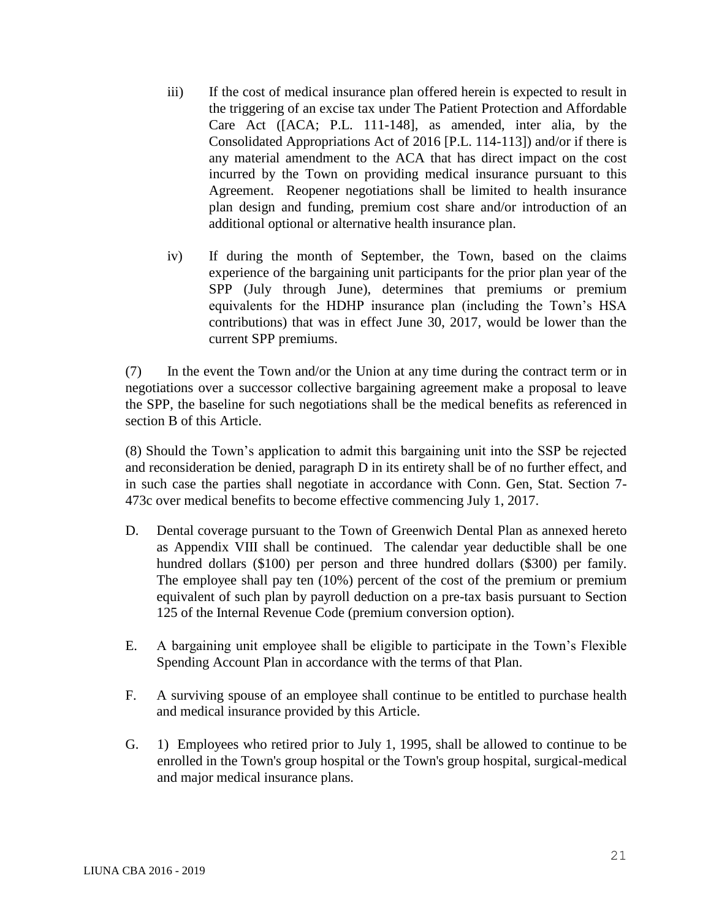- iii) If the cost of medical insurance plan offered herein is expected to result in the triggering of an excise tax under The Patient Protection and Affordable Care Act ([ACA; P.L. 111-148], as amended, inter alia, by the Consolidated Appropriations Act of 2016 [P.L. 114-113]) and/or if there is any material amendment to the ACA that has direct impact on the cost incurred by the Town on providing medical insurance pursuant to this Agreement. Reopener negotiations shall be limited to health insurance plan design and funding, premium cost share and/or introduction of an additional optional or alternative health insurance plan.
- iv) If during the month of September, the Town, based on the claims experience of the bargaining unit participants for the prior plan year of the SPP (July through June), determines that premiums or premium equivalents for the HDHP insurance plan (including the Town's HSA contributions) that was in effect June 30, 2017, would be lower than the current SPP premiums.

(7) In the event the Town and/or the Union at any time during the contract term or in negotiations over a successor collective bargaining agreement make a proposal to leave the SPP, the baseline for such negotiations shall be the medical benefits as referenced in section B of this Article.

(8) Should the Town's application to admit this bargaining unit into the SSP be rejected and reconsideration be denied, paragraph D in its entirety shall be of no further effect, and in such case the parties shall negotiate in accordance with Conn. Gen, Stat. Section 7- 473c over medical benefits to become effective commencing July 1, 2017.

- D. Dental coverage pursuant to the Town of Greenwich Dental Plan as annexed hereto as Appendix VIII shall be continued. The calendar year deductible shall be one hundred dollars (\$100) per person and three hundred dollars (\$300) per family. The employee shall pay ten (10%) percent of the cost of the premium or premium equivalent of such plan by payroll deduction on a pre-tax basis pursuant to Section 125 of the Internal Revenue Code (premium conversion option).
- E. A bargaining unit employee shall be eligible to participate in the Town's Flexible Spending Account Plan in accordance with the terms of that Plan.
- F. A surviving spouse of an employee shall continue to be entitled to purchase health and medical insurance provided by this Article.
- G. 1) Employees who retired prior to July 1, 1995, shall be allowed to continue to be enrolled in the Town's group hospital or the Town's group hospital, surgical-medical and major medical insurance plans.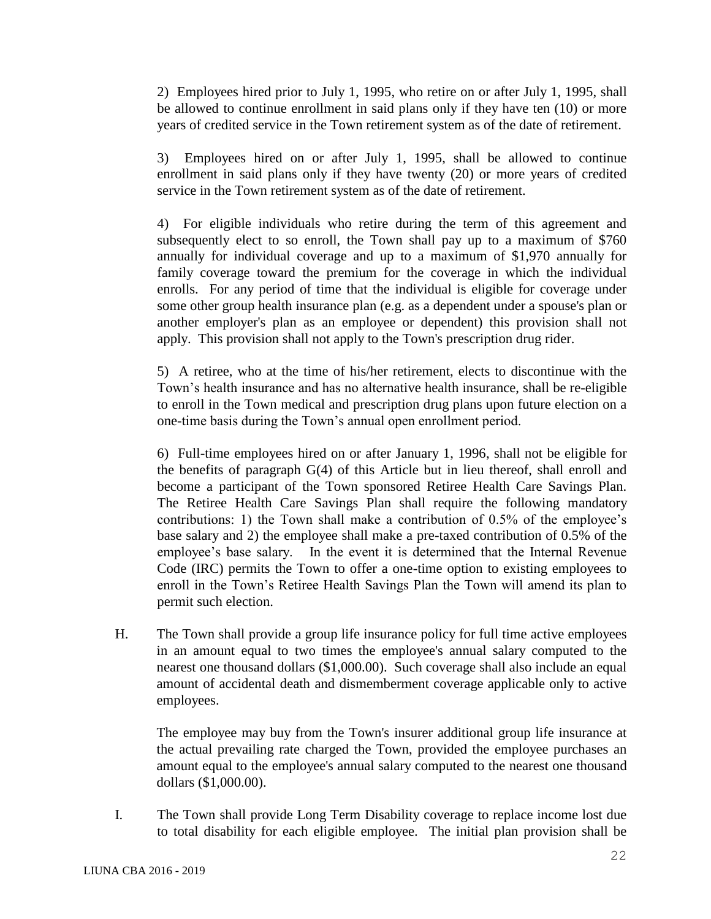2) Employees hired prior to July 1, 1995, who retire on or after July 1, 1995, shall be allowed to continue enrollment in said plans only if they have ten (10) or more years of credited service in the Town retirement system as of the date of retirement.

3) Employees hired on or after July 1, 1995, shall be allowed to continue enrollment in said plans only if they have twenty (20) or more years of credited service in the Town retirement system as of the date of retirement.

4) For eligible individuals who retire during the term of this agreement and subsequently elect to so enroll, the Town shall pay up to a maximum of \$760 annually for individual coverage and up to a maximum of \$1,970 annually for family coverage toward the premium for the coverage in which the individual enrolls. For any period of time that the individual is eligible for coverage under some other group health insurance plan (e.g. as a dependent under a spouse's plan or another employer's plan as an employee or dependent) this provision shall not apply. This provision shall not apply to the Town's prescription drug rider.

5) A retiree, who at the time of his/her retirement, elects to discontinue with the Town's health insurance and has no alternative health insurance, shall be re-eligible to enroll in the Town medical and prescription drug plans upon future election on a one-time basis during the Town's annual open enrollment period.

6) Full-time employees hired on or after January 1, 1996, shall not be eligible for the benefits of paragraph G(4) of this Article but in lieu thereof, shall enroll and become a participant of the Town sponsored Retiree Health Care Savings Plan. The Retiree Health Care Savings Plan shall require the following mandatory contributions: 1) the Town shall make a contribution of 0.5% of the employee's base salary and 2) the employee shall make a pre-taxed contribution of 0.5% of the employee's base salary. In the event it is determined that the Internal Revenue Code (IRC) permits the Town to offer a one-time option to existing employees to enroll in the Town's Retiree Health Savings Plan the Town will amend its plan to permit such election.

H. The Town shall provide a group life insurance policy for full time active employees in an amount equal to two times the employee's annual salary computed to the nearest one thousand dollars (\$1,000.00). Such coverage shall also include an equal amount of accidental death and dismemberment coverage applicable only to active employees.

The employee may buy from the Town's insurer additional group life insurance at the actual prevailing rate charged the Town, provided the employee purchases an amount equal to the employee's annual salary computed to the nearest one thousand dollars (\$1,000.00).

I. The Town shall provide Long Term Disability coverage to replace income lost due to total disability for each eligible employee. The initial plan provision shall be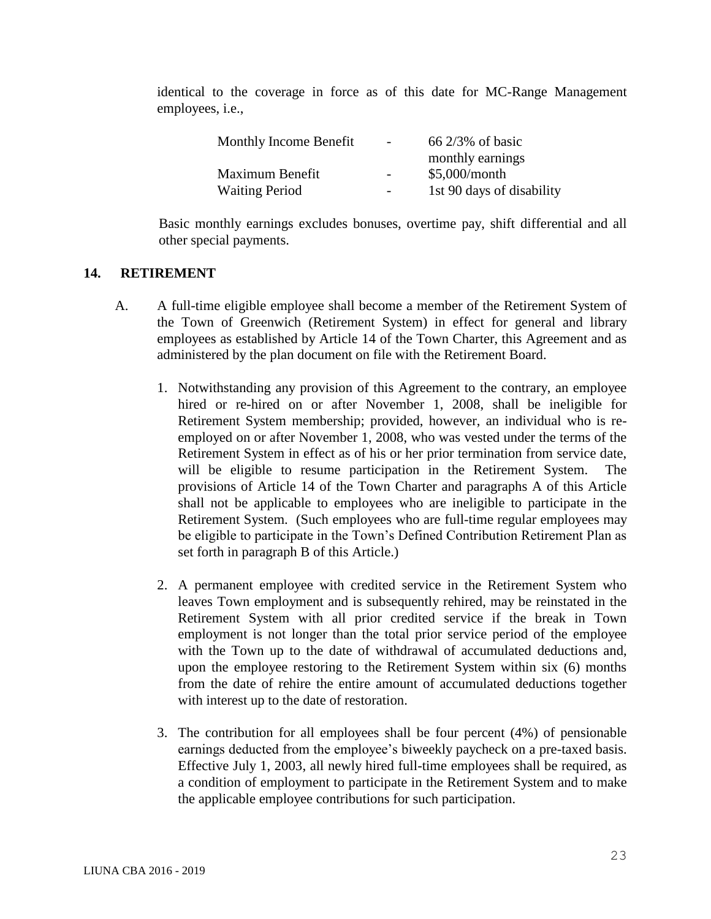identical to the coverage in force as of this date for MC-Range Management employees, i.e.,

| Monthly Income Benefit | $\overline{\phantom{a}}$ | $66\frac{2}{3\%}$ of basic |
|------------------------|--------------------------|----------------------------|
|                        |                          | monthly earnings           |
| Maximum Benefit        | $\overline{\phantom{a}}$ | $$5,000/m$ onth            |
| <b>Waiting Period</b>  | $\overline{\phantom{0}}$ | 1st 90 days of disability  |

Basic monthly earnings excludes bonuses, overtime pay, shift differential and all other special payments.

#### **14. RETIREMENT**

- A. A full-time eligible employee shall become a member of the Retirement System of the Town of Greenwich (Retirement System) in effect for general and library employees as established by Article 14 of the Town Charter, this Agreement and as administered by the plan document on file with the Retirement Board.
	- 1. Notwithstanding any provision of this Agreement to the contrary, an employee hired or re-hired on or after November 1, 2008, shall be ineligible for Retirement System membership; provided, however, an individual who is reemployed on or after November 1, 2008, who was vested under the terms of the Retirement System in effect as of his or her prior termination from service date, will be eligible to resume participation in the Retirement System. The provisions of Article 14 of the Town Charter and paragraphs A of this Article shall not be applicable to employees who are ineligible to participate in the Retirement System. (Such employees who are full-time regular employees may be eligible to participate in the Town's Defined Contribution Retirement Plan as set forth in paragraph B of this Article.)
	- 2. A permanent employee with credited service in the Retirement System who leaves Town employment and is subsequently rehired, may be reinstated in the Retirement System with all prior credited service if the break in Town employment is not longer than the total prior service period of the employee with the Town up to the date of withdrawal of accumulated deductions and, upon the employee restoring to the Retirement System within six (6) months from the date of rehire the entire amount of accumulated deductions together with interest up to the date of restoration.
	- 3. The contribution for all employees shall be four percent (4%) of pensionable earnings deducted from the employee's biweekly paycheck on a pre-taxed basis. Effective July 1, 2003, all newly hired full-time employees shall be required, as a condition of employment to participate in the Retirement System and to make the applicable employee contributions for such participation.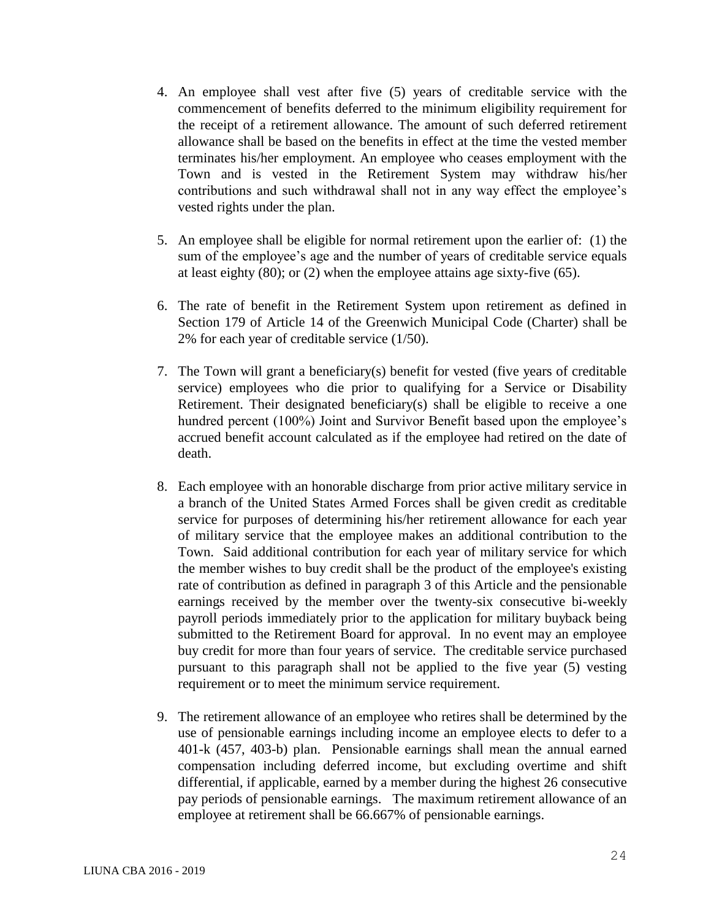- 4. An employee shall vest after five (5) years of creditable service with the commencement of benefits deferred to the minimum eligibility requirement for the receipt of a retirement allowance. The amount of such deferred retirement allowance shall be based on the benefits in effect at the time the vested member terminates his/her employment. An employee who ceases employment with the Town and is vested in the Retirement System may withdraw his/her contributions and such withdrawal shall not in any way effect the employee's vested rights under the plan.
- 5. An employee shall be eligible for normal retirement upon the earlier of: (1) the sum of the employee's age and the number of years of creditable service equals at least eighty (80); or (2) when the employee attains age sixty-five (65).
- 6. The rate of benefit in the Retirement System upon retirement as defined in Section 179 of Article 14 of the Greenwich Municipal Code (Charter) shall be 2% for each year of creditable service (1/50).
- 7. The Town will grant a beneficiary(s) benefit for vested (five years of creditable service) employees who die prior to qualifying for a Service or Disability Retirement. Their designated beneficiary(s) shall be eligible to receive a one hundred percent (100%) Joint and Survivor Benefit based upon the employee's accrued benefit account calculated as if the employee had retired on the date of death.
- 8. Each employee with an honorable discharge from prior active military service in a branch of the United States Armed Forces shall be given credit as creditable service for purposes of determining his/her retirement allowance for each year of military service that the employee makes an additional contribution to the Town. Said additional contribution for each year of military service for which the member wishes to buy credit shall be the product of the employee's existing rate of contribution as defined in paragraph 3 of this Article and the pensionable earnings received by the member over the twenty-six consecutive bi-weekly payroll periods immediately prior to the application for military buyback being submitted to the Retirement Board for approval. In no event may an employee buy credit for more than four years of service. The creditable service purchased pursuant to this paragraph shall not be applied to the five year (5) vesting requirement or to meet the minimum service requirement.
- 9. The retirement allowance of an employee who retires shall be determined by the use of pensionable earnings including income an employee elects to defer to a 401-k (457, 403-b) plan. Pensionable earnings shall mean the annual earned compensation including deferred income, but excluding overtime and shift differential, if applicable, earned by a member during the highest 26 consecutive pay periods of pensionable earnings. The maximum retirement allowance of an employee at retirement shall be 66.667% of pensionable earnings.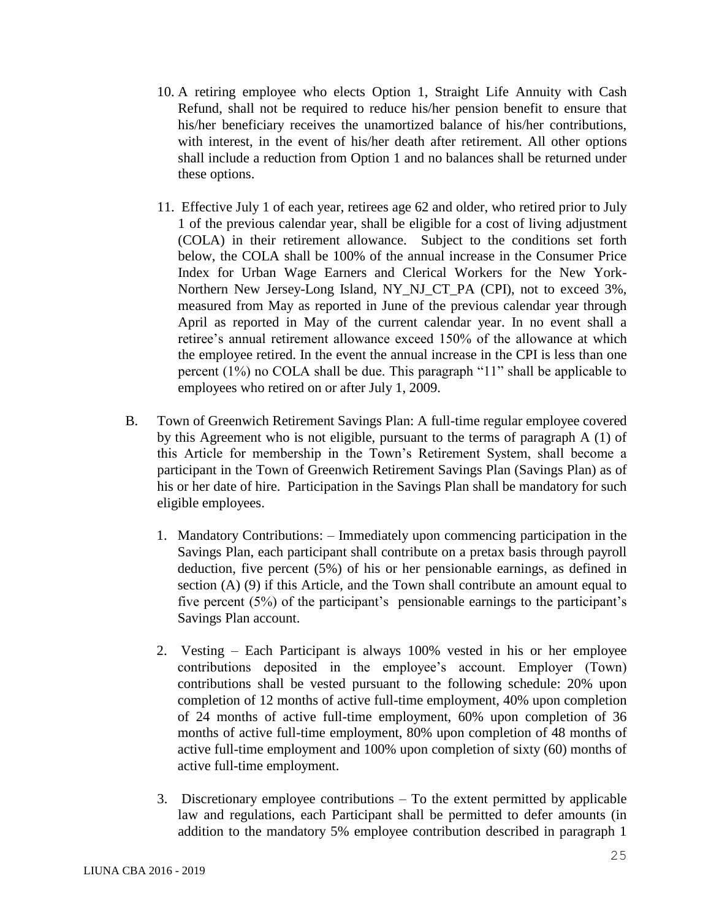- 10. A retiring employee who elects Option 1, Straight Life Annuity with Cash Refund, shall not be required to reduce his/her pension benefit to ensure that his/her beneficiary receives the unamortized balance of his/her contributions, with interest, in the event of his/her death after retirement. All other options shall include a reduction from Option 1 and no balances shall be returned under these options.
- 11. Effective July 1 of each year, retirees age 62 and older, who retired prior to July 1 of the previous calendar year, shall be eligible for a cost of living adjustment (COLA) in their retirement allowance. Subject to the conditions set forth below, the COLA shall be 100% of the annual increase in the Consumer Price Index for Urban Wage Earners and Clerical Workers for the New York-Northern New Jersey-Long Island, NY\_NJ\_CT\_PA (CPI), not to exceed 3%, measured from May as reported in June of the previous calendar year through April as reported in May of the current calendar year. In no event shall a retiree's annual retirement allowance exceed 150% of the allowance at which the employee retired. In the event the annual increase in the CPI is less than one percent (1%) no COLA shall be due. This paragraph "11" shall be applicable to employees who retired on or after July 1, 2009.
- B. Town of Greenwich Retirement Savings Plan: A full-time regular employee covered by this Agreement who is not eligible, pursuant to the terms of paragraph A (1) of this Article for membership in the Town's Retirement System, shall become a participant in the Town of Greenwich Retirement Savings Plan (Savings Plan) as of his or her date of hire. Participation in the Savings Plan shall be mandatory for such eligible employees.
	- 1. Mandatory Contributions: Immediately upon commencing participation in the Savings Plan, each participant shall contribute on a pretax basis through payroll deduction, five percent (5%) of his or her pensionable earnings, as defined in section (A) (9) if this Article, and the Town shall contribute an amount equal to five percent (5%) of the participant's pensionable earnings to the participant's Savings Plan account.
	- 2. Vesting Each Participant is always 100% vested in his or her employee contributions deposited in the employee's account. Employer (Town) contributions shall be vested pursuant to the following schedule: 20% upon completion of 12 months of active full-time employment, 40% upon completion of 24 months of active full-time employment, 60% upon completion of 36 months of active full-time employment, 80% upon completion of 48 months of active full-time employment and 100% upon completion of sixty (60) months of active full-time employment.
	- 3. Discretionary employee contributions To the extent permitted by applicable law and regulations, each Participant shall be permitted to defer amounts (in addition to the mandatory 5% employee contribution described in paragraph 1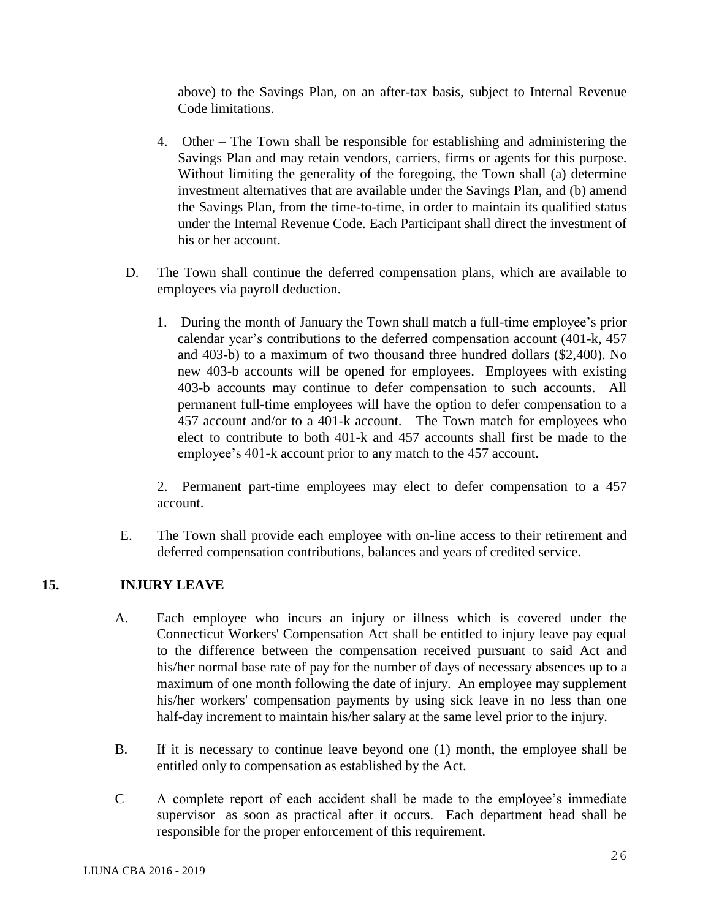above) to the Savings Plan, on an after-tax basis, subject to Internal Revenue Code limitations.

- 4. Other The Town shall be responsible for establishing and administering the Savings Plan and may retain vendors, carriers, firms or agents for this purpose. Without limiting the generality of the foregoing, the Town shall (a) determine investment alternatives that are available under the Savings Plan, and (b) amend the Savings Plan, from the time-to-time, in order to maintain its qualified status under the Internal Revenue Code. Each Participant shall direct the investment of his or her account.
- D. The Town shall continue the deferred compensation plans, which are available to employees via payroll deduction.
	- 1. During the month of January the Town shall match a full-time employee's prior calendar year's contributions to the deferred compensation account (401-k, 457 and 403-b) to a maximum of two thousand three hundred dollars (\$2,400). No new 403-b accounts will be opened for employees. Employees with existing 403-b accounts may continue to defer compensation to such accounts. All permanent full-time employees will have the option to defer compensation to a 457 account and/or to a 401-k account. The Town match for employees who elect to contribute to both 401-k and 457 accounts shall first be made to the employee's 401-k account prior to any match to the 457 account.

2. Permanent part-time employees may elect to defer compensation to a 457 account.

E. The Town shall provide each employee with on-line access to their retirement and deferred compensation contributions, balances and years of credited service.

## **15. INJURY LEAVE**

- A. Each employee who incurs an injury or illness which is covered under the Connecticut Workers' Compensation Act shall be entitled to injury leave pay equal to the difference between the compensation received pursuant to said Act and his/her normal base rate of pay for the number of days of necessary absences up to a maximum of one month following the date of injury. An employee may supplement his/her workers' compensation payments by using sick leave in no less than one half-day increment to maintain his/her salary at the same level prior to the injury.
- B. If it is necessary to continue leave beyond one (1) month, the employee shall be entitled only to compensation as established by the Act.
- C A complete report of each accident shall be made to the employee's immediate supervisor as soon as practical after it occurs. Each department head shall be responsible for the proper enforcement of this requirement.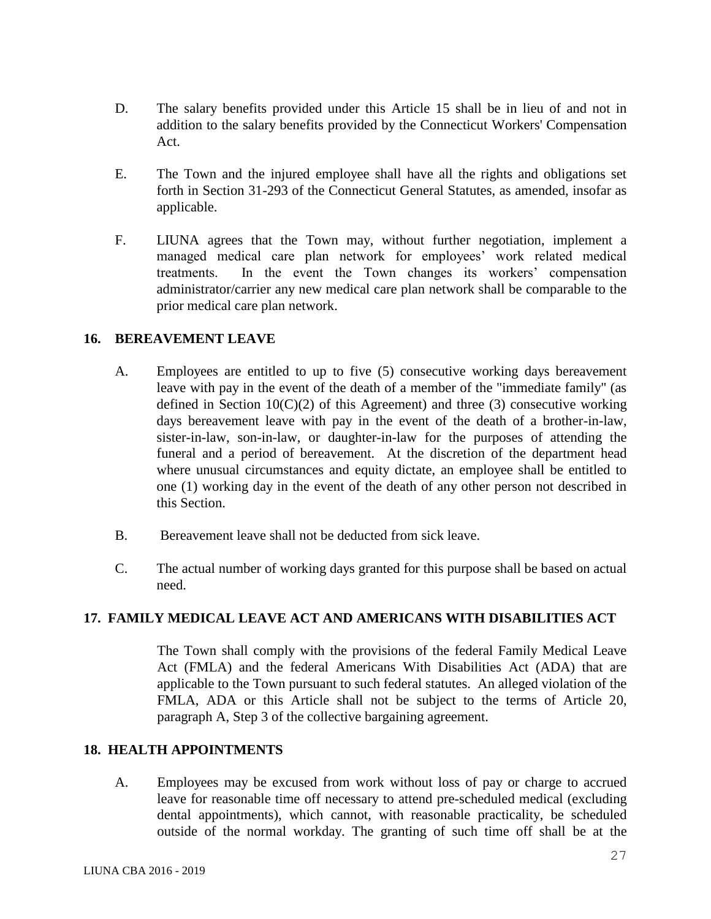- D. The salary benefits provided under this Article 15 shall be in lieu of and not in addition to the salary benefits provided by the Connecticut Workers' Compensation Act.
- E. The Town and the injured employee shall have all the rights and obligations set forth in Section 31-293 of the Connecticut General Statutes, as amended, insofar as applicable.
- F. LIUNA agrees that the Town may, without further negotiation, implement a managed medical care plan network for employees' work related medical treatments. In the event the Town changes its workers' compensation administrator/carrier any new medical care plan network shall be comparable to the prior medical care plan network.

### **16. BEREAVEMENT LEAVE**

- A. Employees are entitled to up to five (5) consecutive working days bereavement leave with pay in the event of the death of a member of the "immediate family" (as defined in Section  $10(C)(2)$  of this Agreement) and three (3) consecutive working days bereavement leave with pay in the event of the death of a brother-in-law, sister-in-law, son-in-law, or daughter-in-law for the purposes of attending the funeral and a period of bereavement. At the discretion of the department head where unusual circumstances and equity dictate, an employee shall be entitled to one (1) working day in the event of the death of any other person not described in this Section.
- B. Bereavement leave shall not be deducted from sick leave.
- C. The actual number of working days granted for this purpose shall be based on actual need.

## **17. FAMILY MEDICAL LEAVE ACT AND AMERICANS WITH DISABILITIES ACT**

The Town shall comply with the provisions of the federal Family Medical Leave Act (FMLA) and the federal Americans With Disabilities Act (ADA) that are applicable to the Town pursuant to such federal statutes. An alleged violation of the FMLA, ADA or this Article shall not be subject to the terms of Article 20, paragraph A, Step 3 of the collective bargaining agreement.

#### **18. HEALTH APPOINTMENTS**

A. Employees may be excused from work without loss of pay or charge to accrued leave for reasonable time off necessary to attend pre-scheduled medical (excluding dental appointments), which cannot, with reasonable practicality, be scheduled outside of the normal workday. The granting of such time off shall be at the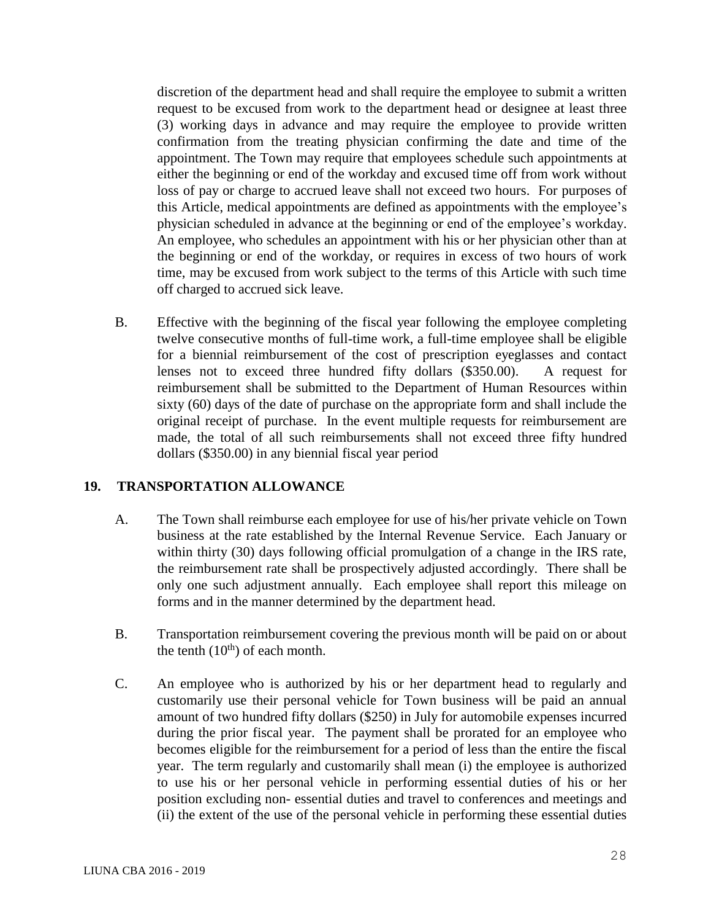discretion of the department head and shall require the employee to submit a written request to be excused from work to the department head or designee at least three (3) working days in advance and may require the employee to provide written confirmation from the treating physician confirming the date and time of the appointment. The Town may require that employees schedule such appointments at either the beginning or end of the workday and excused time off from work without loss of pay or charge to accrued leave shall not exceed two hours. For purposes of this Article, medical appointments are defined as appointments with the employee's physician scheduled in advance at the beginning or end of the employee's workday. An employee, who schedules an appointment with his or her physician other than at the beginning or end of the workday, or requires in excess of two hours of work time, may be excused from work subject to the terms of this Article with such time off charged to accrued sick leave.

B. Effective with the beginning of the fiscal year following the employee completing twelve consecutive months of full-time work, a full-time employee shall be eligible for a biennial reimbursement of the cost of prescription eyeglasses and contact lenses not to exceed three hundred fifty dollars (\$350.00). A request for reimbursement shall be submitted to the Department of Human Resources within sixty (60) days of the date of purchase on the appropriate form and shall include the original receipt of purchase. In the event multiple requests for reimbursement are made, the total of all such reimbursements shall not exceed three fifty hundred dollars (\$350.00) in any biennial fiscal year period

#### **19. TRANSPORTATION ALLOWANCE**

- A. The Town shall reimburse each employee for use of his/her private vehicle on Town business at the rate established by the Internal Revenue Service. Each January or within thirty (30) days following official promulgation of a change in the IRS rate, the reimbursement rate shall be prospectively adjusted accordingly. There shall be only one such adjustment annually. Each employee shall report this mileage on forms and in the manner determined by the department head.
- B. Transportation reimbursement covering the previous month will be paid on or about the tenth  $(10<sup>th</sup>)$  of each month.
- C. An employee who is authorized by his or her department head to regularly and customarily use their personal vehicle for Town business will be paid an annual amount of two hundred fifty dollars (\$250) in July for automobile expenses incurred during the prior fiscal year. The payment shall be prorated for an employee who becomes eligible for the reimbursement for a period of less than the entire the fiscal year. The term regularly and customarily shall mean (i) the employee is authorized to use his or her personal vehicle in performing essential duties of his or her position excluding non- essential duties and travel to conferences and meetings and (ii) the extent of the use of the personal vehicle in performing these essential duties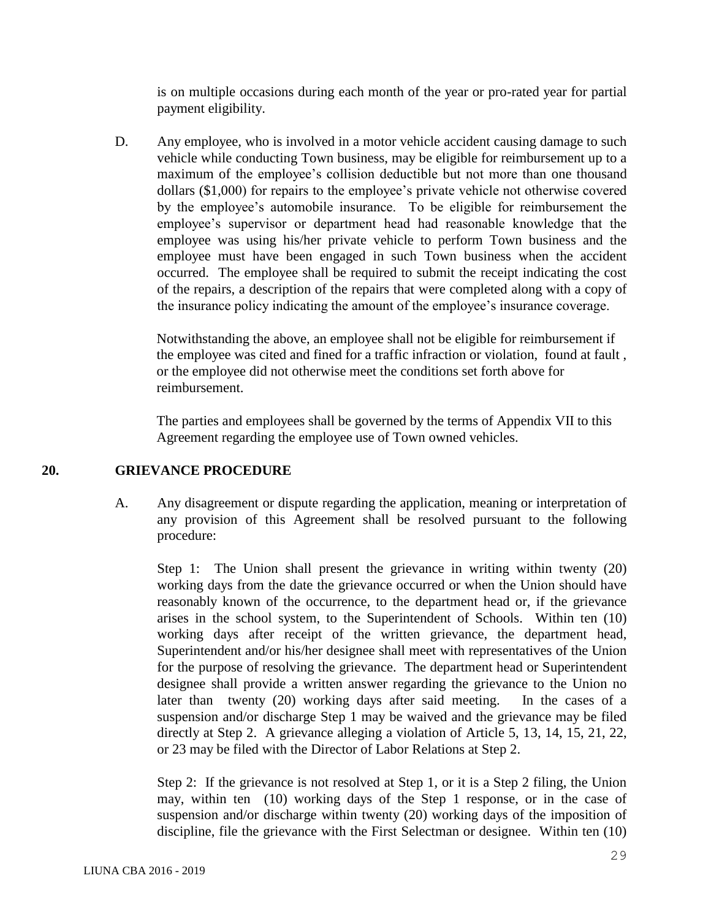is on multiple occasions during each month of the year or pro-rated year for partial payment eligibility.

D. Any employee, who is involved in a motor vehicle accident causing damage to such vehicle while conducting Town business, may be eligible for reimbursement up to a maximum of the employee's collision deductible but not more than one thousand dollars (\$1,000) for repairs to the employee's private vehicle not otherwise covered by the employee's automobile insurance. To be eligible for reimbursement the employee's supervisor or department head had reasonable knowledge that the employee was using his/her private vehicle to perform Town business and the employee must have been engaged in such Town business when the accident occurred. The employee shall be required to submit the receipt indicating the cost of the repairs, a description of the repairs that were completed along with a copy of the insurance policy indicating the amount of the employee's insurance coverage.

Notwithstanding the above, an employee shall not be eligible for reimbursement if the employee was cited and fined for a traffic infraction or violation, found at fault , or the employee did not otherwise meet the conditions set forth above for reimbursement.

The parties and employees shall be governed by the terms of Appendix VII to this Agreement regarding the employee use of Town owned vehicles.

#### **20. GRIEVANCE PROCEDURE**

A. Any disagreement or dispute regarding the application, meaning or interpretation of any provision of this Agreement shall be resolved pursuant to the following procedure:

Step 1: The Union shall present the grievance in writing within twenty (20) working days from the date the grievance occurred or when the Union should have reasonably known of the occurrence, to the department head or, if the grievance arises in the school system, to the Superintendent of Schools. Within ten (10) working days after receipt of the written grievance, the department head, Superintendent and/or his/her designee shall meet with representatives of the Union for the purpose of resolving the grievance. The department head or Superintendent designee shall provide a written answer regarding the grievance to the Union no later than twenty (20) working days after said meeting. In the cases of a suspension and/or discharge Step 1 may be waived and the grievance may be filed directly at Step 2. A grievance alleging a violation of Article 5, 13, 14, 15, 21, 22, or 23 may be filed with the Director of Labor Relations at Step 2.

Step 2: If the grievance is not resolved at Step 1, or it is a Step 2 filing, the Union may, within ten (10) working days of the Step 1 response, or in the case of suspension and/or discharge within twenty (20) working days of the imposition of discipline, file the grievance with the First Selectman or designee. Within ten (10)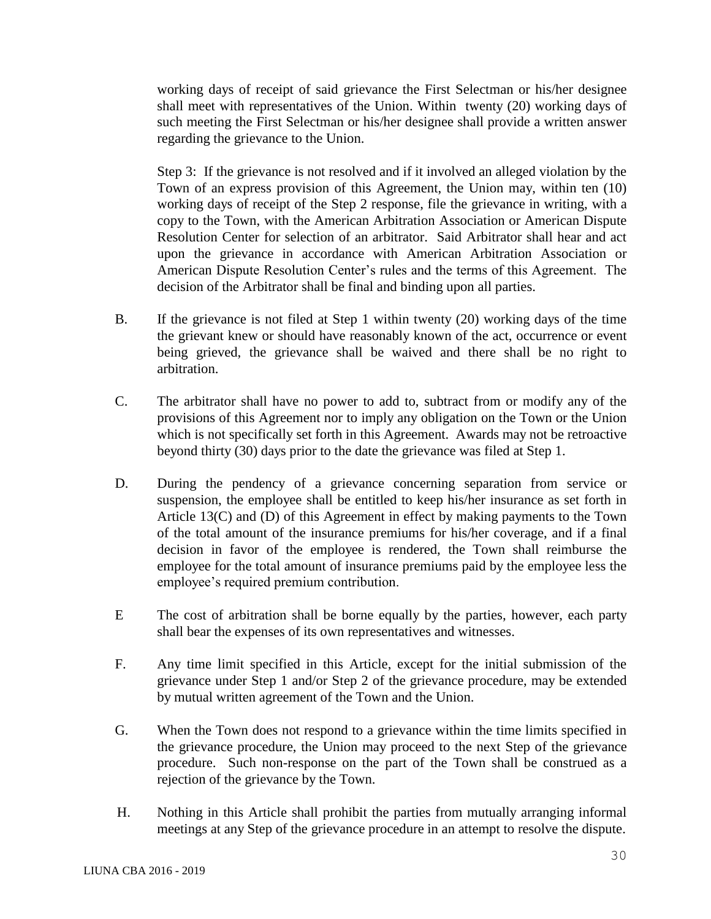working days of receipt of said grievance the First Selectman or his/her designee shall meet with representatives of the Union. Within twenty (20) working days of such meeting the First Selectman or his/her designee shall provide a written answer regarding the grievance to the Union.

Step 3: If the grievance is not resolved and if it involved an alleged violation by the Town of an express provision of this Agreement, the Union may, within ten (10) working days of receipt of the Step 2 response, file the grievance in writing, with a copy to the Town, with the American Arbitration Association or American Dispute Resolution Center for selection of an arbitrator. Said Arbitrator shall hear and act upon the grievance in accordance with American Arbitration Association or American Dispute Resolution Center's rules and the terms of this Agreement. The decision of the Arbitrator shall be final and binding upon all parties.

- B. If the grievance is not filed at Step 1 within twenty (20) working days of the time the grievant knew or should have reasonably known of the act, occurrence or event being grieved, the grievance shall be waived and there shall be no right to arbitration.
- C. The arbitrator shall have no power to add to, subtract from or modify any of the provisions of this Agreement nor to imply any obligation on the Town or the Union which is not specifically set forth in this Agreement. Awards may not be retroactive beyond thirty (30) days prior to the date the grievance was filed at Step 1.
- D. During the pendency of a grievance concerning separation from service or suspension, the employee shall be entitled to keep his/her insurance as set forth in Article 13(C) and (D) of this Agreement in effect by making payments to the Town of the total amount of the insurance premiums for his/her coverage, and if a final decision in favor of the employee is rendered, the Town shall reimburse the employee for the total amount of insurance premiums paid by the employee less the employee's required premium contribution.
- E The cost of arbitration shall be borne equally by the parties, however, each party shall bear the expenses of its own representatives and witnesses.
- F. Any time limit specified in this Article, except for the initial submission of the grievance under Step 1 and/or Step 2 of the grievance procedure, may be extended by mutual written agreement of the Town and the Union.
- G. When the Town does not respond to a grievance within the time limits specified in the grievance procedure, the Union may proceed to the next Step of the grievance procedure. Such non-response on the part of the Town shall be construed as a rejection of the grievance by the Town.
- H. Nothing in this Article shall prohibit the parties from mutually arranging informal meetings at any Step of the grievance procedure in an attempt to resolve the dispute.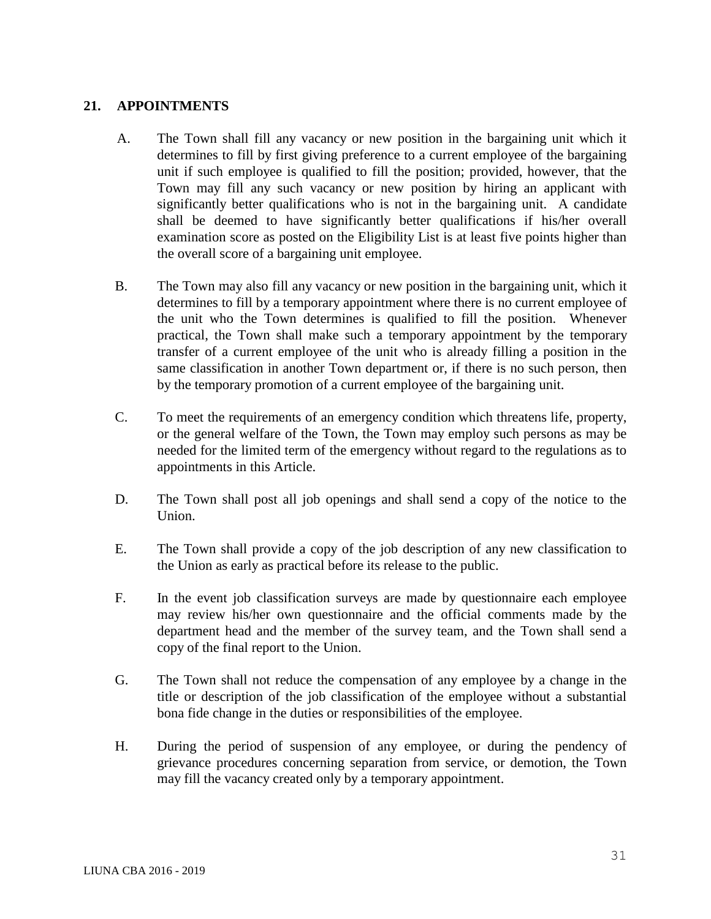### **21. APPOINTMENTS**

- A. The Town shall fill any vacancy or new position in the bargaining unit which it determines to fill by first giving preference to a current employee of the bargaining unit if such employee is qualified to fill the position; provided, however, that the Town may fill any such vacancy or new position by hiring an applicant with significantly better qualifications who is not in the bargaining unit. A candidate shall be deemed to have significantly better qualifications if his/her overall examination score as posted on the Eligibility List is at least five points higher than the overall score of a bargaining unit employee.
- B. The Town may also fill any vacancy or new position in the bargaining unit, which it determines to fill by a temporary appointment where there is no current employee of the unit who the Town determines is qualified to fill the position. Whenever practical, the Town shall make such a temporary appointment by the temporary transfer of a current employee of the unit who is already filling a position in the same classification in another Town department or, if there is no such person, then by the temporary promotion of a current employee of the bargaining unit.
- C. To meet the requirements of an emergency condition which threatens life, property, or the general welfare of the Town, the Town may employ such persons as may be needed for the limited term of the emergency without regard to the regulations as to appointments in this Article.
- D. The Town shall post all job openings and shall send a copy of the notice to the Union.
- E. The Town shall provide a copy of the job description of any new classification to the Union as early as practical before its release to the public.
- F. In the event job classification surveys are made by questionnaire each employee may review his/her own questionnaire and the official comments made by the department head and the member of the survey team, and the Town shall send a copy of the final report to the Union.
- G. The Town shall not reduce the compensation of any employee by a change in the title or description of the job classification of the employee without a substantial bona fide change in the duties or responsibilities of the employee.
- H. During the period of suspension of any employee, or during the pendency of grievance procedures concerning separation from service, or demotion, the Town may fill the vacancy created only by a temporary appointment.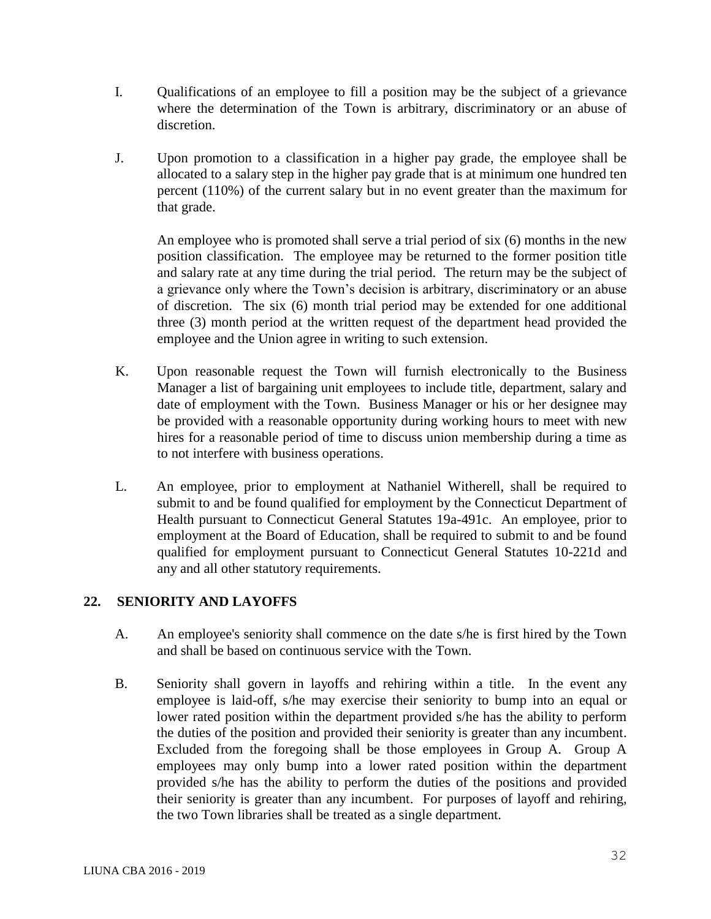- I. Qualifications of an employee to fill a position may be the subject of a grievance where the determination of the Town is arbitrary, discriminatory or an abuse of discretion.
- J. Upon promotion to a classification in a higher pay grade, the employee shall be allocated to a salary step in the higher pay grade that is at minimum one hundred ten percent (110%) of the current salary but in no event greater than the maximum for that grade.

An employee who is promoted shall serve a trial period of six (6) months in the new position classification. The employee may be returned to the former position title and salary rate at any time during the trial period. The return may be the subject of a grievance only where the Town's decision is arbitrary, discriminatory or an abuse of discretion. The six (6) month trial period may be extended for one additional three (3) month period at the written request of the department head provided the employee and the Union agree in writing to such extension.

- K. Upon reasonable request the Town will furnish electronically to the Business Manager a list of bargaining unit employees to include title, department, salary and date of employment with the Town. Business Manager or his or her designee may be provided with a reasonable opportunity during working hours to meet with new hires for a reasonable period of time to discuss union membership during a time as to not interfere with business operations.
- L. An employee, prior to employment at Nathaniel Witherell, shall be required to submit to and be found qualified for employment by the Connecticut Department of Health pursuant to Connecticut General Statutes 19a-491c. An employee, prior to employment at the Board of Education, shall be required to submit to and be found qualified for employment pursuant to Connecticut General Statutes 10-221d and any and all other statutory requirements.

## **22. SENIORITY AND LAYOFFS**

- A. An employee's seniority shall commence on the date s/he is first hired by the Town and shall be based on continuous service with the Town.
- B. Seniority shall govern in layoffs and rehiring within a title. In the event any employee is laid-off, s/he may exercise their seniority to bump into an equal or lower rated position within the department provided s/he has the ability to perform the duties of the position and provided their seniority is greater than any incumbent. Excluded from the foregoing shall be those employees in Group A. Group A employees may only bump into a lower rated position within the department provided s/he has the ability to perform the duties of the positions and provided their seniority is greater than any incumbent. For purposes of layoff and rehiring, the two Town libraries shall be treated as a single department.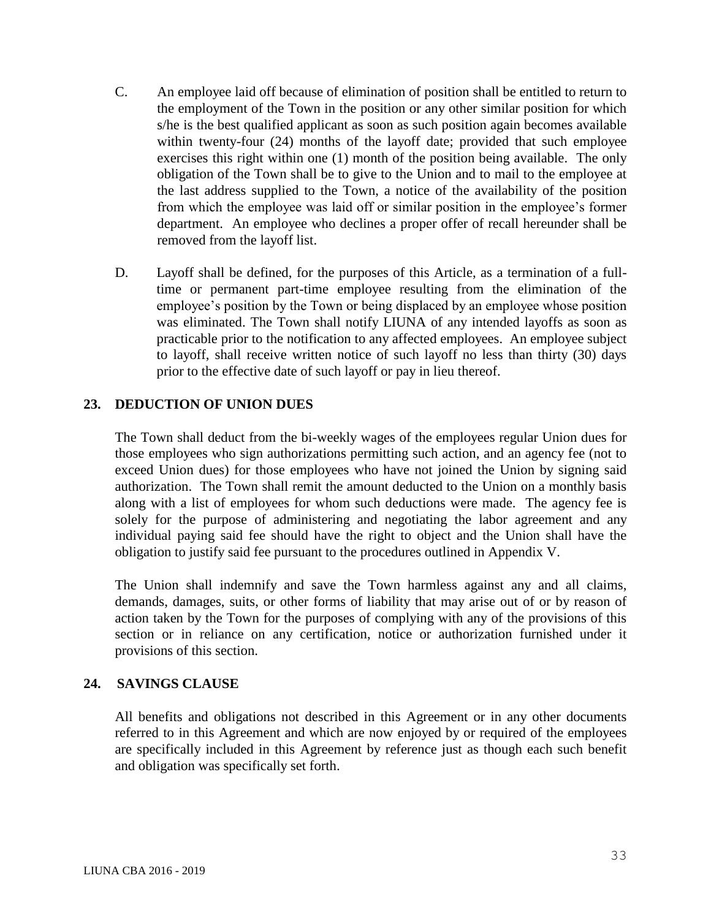- C. An employee laid off because of elimination of position shall be entitled to return to the employment of the Town in the position or any other similar position for which s/he is the best qualified applicant as soon as such position again becomes available within twenty-four (24) months of the layoff date; provided that such employee exercises this right within one (1) month of the position being available. The only obligation of the Town shall be to give to the Union and to mail to the employee at the last address supplied to the Town, a notice of the availability of the position from which the employee was laid off or similar position in the employee's former department. An employee who declines a proper offer of recall hereunder shall be removed from the layoff list.
- D. Layoff shall be defined, for the purposes of this Article, as a termination of a fulltime or permanent part-time employee resulting from the elimination of the employee's position by the Town or being displaced by an employee whose position was eliminated. The Town shall notify LIUNA of any intended layoffs as soon as practicable prior to the notification to any affected employees. An employee subject to layoff, shall receive written notice of such layoff no less than thirty (30) days prior to the effective date of such layoff or pay in lieu thereof.

#### **23. DEDUCTION OF UNION DUES**

The Town shall deduct from the bi-weekly wages of the employees regular Union dues for those employees who sign authorizations permitting such action, and an agency fee (not to exceed Union dues) for those employees who have not joined the Union by signing said authorization. The Town shall remit the amount deducted to the Union on a monthly basis along with a list of employees for whom such deductions were made. The agency fee is solely for the purpose of administering and negotiating the labor agreement and any individual paying said fee should have the right to object and the Union shall have the obligation to justify said fee pursuant to the procedures outlined in Appendix V.

The Union shall indemnify and save the Town harmless against any and all claims, demands, damages, suits, or other forms of liability that may arise out of or by reason of action taken by the Town for the purposes of complying with any of the provisions of this section or in reliance on any certification, notice or authorization furnished under it provisions of this section.

## **24. SAVINGS CLAUSE**

All benefits and obligations not described in this Agreement or in any other documents referred to in this Agreement and which are now enjoyed by or required of the employees are specifically included in this Agreement by reference just as though each such benefit and obligation was specifically set forth.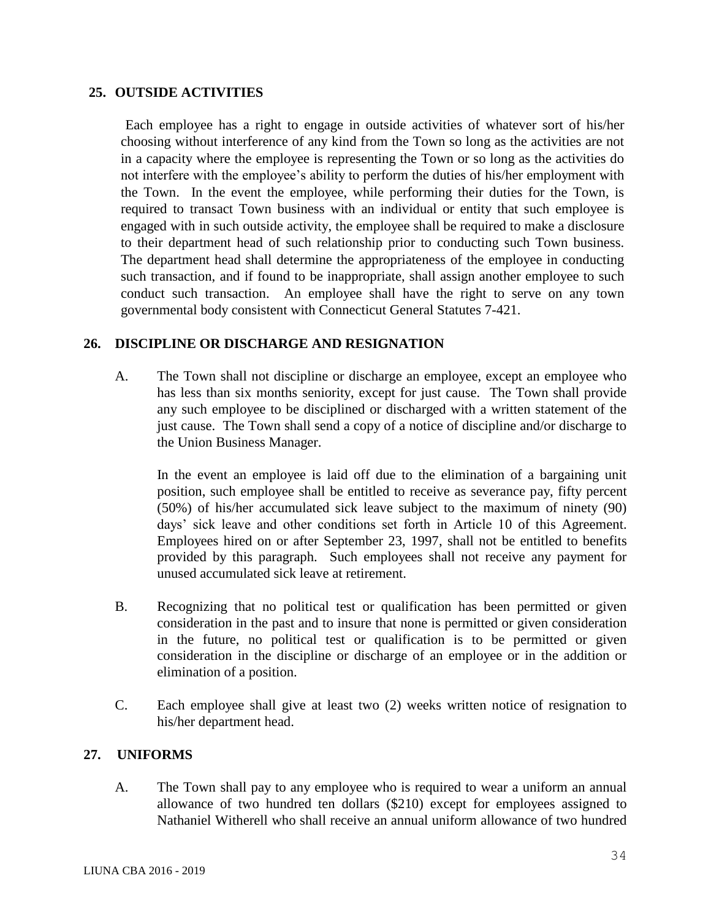#### **25. OUTSIDE ACTIVITIES**

Each employee has a right to engage in outside activities of whatever sort of his/her choosing without interference of any kind from the Town so long as the activities are not in a capacity where the employee is representing the Town or so long as the activities do not interfere with the employee's ability to perform the duties of his/her employment with the Town. In the event the employee, while performing their duties for the Town, is required to transact Town business with an individual or entity that such employee is engaged with in such outside activity, the employee shall be required to make a disclosure to their department head of such relationship prior to conducting such Town business. The department head shall determine the appropriateness of the employee in conducting such transaction, and if found to be inappropriate, shall assign another employee to such conduct such transaction. An employee shall have the right to serve on any town governmental body consistent with Connecticut General Statutes 7-421.

#### **26. DISCIPLINE OR DISCHARGE AND RESIGNATION**

A. The Town shall not discipline or discharge an employee, except an employee who has less than six months seniority, except for just cause. The Town shall provide any such employee to be disciplined or discharged with a written statement of the just cause. The Town shall send a copy of a notice of discipline and/or discharge to the Union Business Manager.

In the event an employee is laid off due to the elimination of a bargaining unit position, such employee shall be entitled to receive as severance pay, fifty percent (50%) of his/her accumulated sick leave subject to the maximum of ninety (90) days' sick leave and other conditions set forth in Article 10 of this Agreement. Employees hired on or after September 23, 1997, shall not be entitled to benefits provided by this paragraph. Such employees shall not receive any payment for unused accumulated sick leave at retirement.

- B. Recognizing that no political test or qualification has been permitted or given consideration in the past and to insure that none is permitted or given consideration in the future, no political test or qualification is to be permitted or given consideration in the discipline or discharge of an employee or in the addition or elimination of a position.
- C. Each employee shall give at least two (2) weeks written notice of resignation to his/her department head.

#### **27. UNIFORMS**

A. The Town shall pay to any employee who is required to wear a uniform an annual allowance of two hundred ten dollars (\$210) except for employees assigned to Nathaniel Witherell who shall receive an annual uniform allowance of two hundred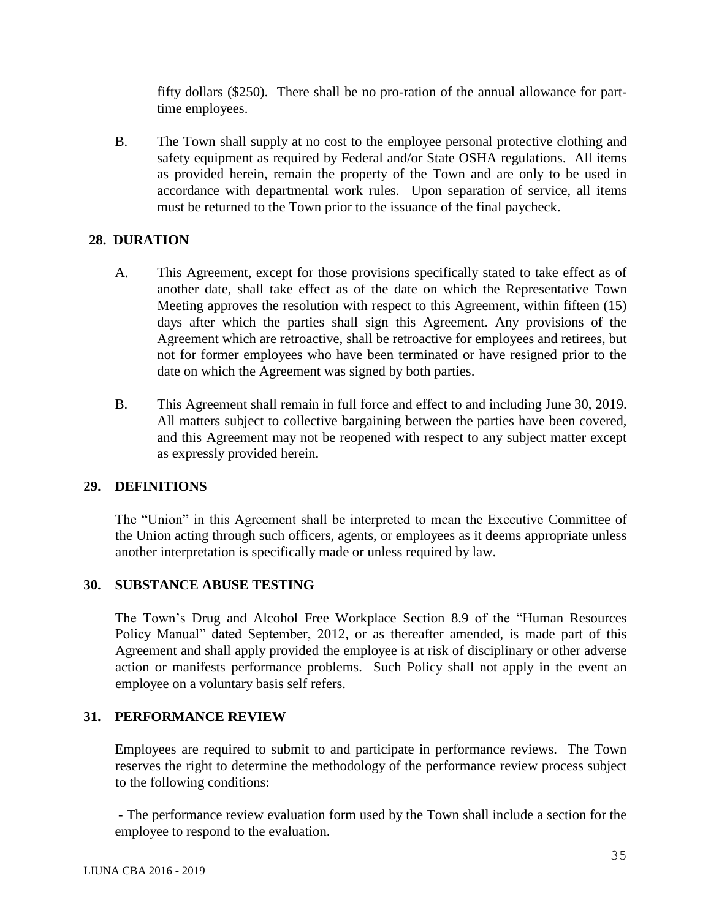fifty dollars (\$250). There shall be no pro-ration of the annual allowance for parttime employees.

B. The Town shall supply at no cost to the employee personal protective clothing and safety equipment as required by Federal and/or State OSHA regulations. All items as provided herein, remain the property of the Town and are only to be used in accordance with departmental work rules. Upon separation of service, all items must be returned to the Town prior to the issuance of the final paycheck.

## **28. DURATION**

- A. This Agreement, except for those provisions specifically stated to take effect as of another date, shall take effect as of the date on which the Representative Town Meeting approves the resolution with respect to this Agreement, within fifteen (15) days after which the parties shall sign this Agreement. Any provisions of the Agreement which are retroactive, shall be retroactive for employees and retirees, but not for former employees who have been terminated or have resigned prior to the date on which the Agreement was signed by both parties.
- B. This Agreement shall remain in full force and effect to and including June 30, 2019. All matters subject to collective bargaining between the parties have been covered, and this Agreement may not be reopened with respect to any subject matter except as expressly provided herein.

## **29. DEFINITIONS**

The "Union" in this Agreement shall be interpreted to mean the Executive Committee of the Union acting through such officers, agents, or employees as it deems appropriate unless another interpretation is specifically made or unless required by law.

## **30. SUBSTANCE ABUSE TESTING**

The Town's Drug and Alcohol Free Workplace Section 8.9 of the "Human Resources Policy Manual" dated September, 2012, or as thereafter amended, is made part of this Agreement and shall apply provided the employee is at risk of disciplinary or other adverse action or manifests performance problems. Such Policy shall not apply in the event an employee on a voluntary basis self refers.

# **31. PERFORMANCE REVIEW**

Employees are required to submit to and participate in performance reviews. The Town reserves the right to determine the methodology of the performance review process subject to the following conditions:

- The performance review evaluation form used by the Town shall include a section for the employee to respond to the evaluation.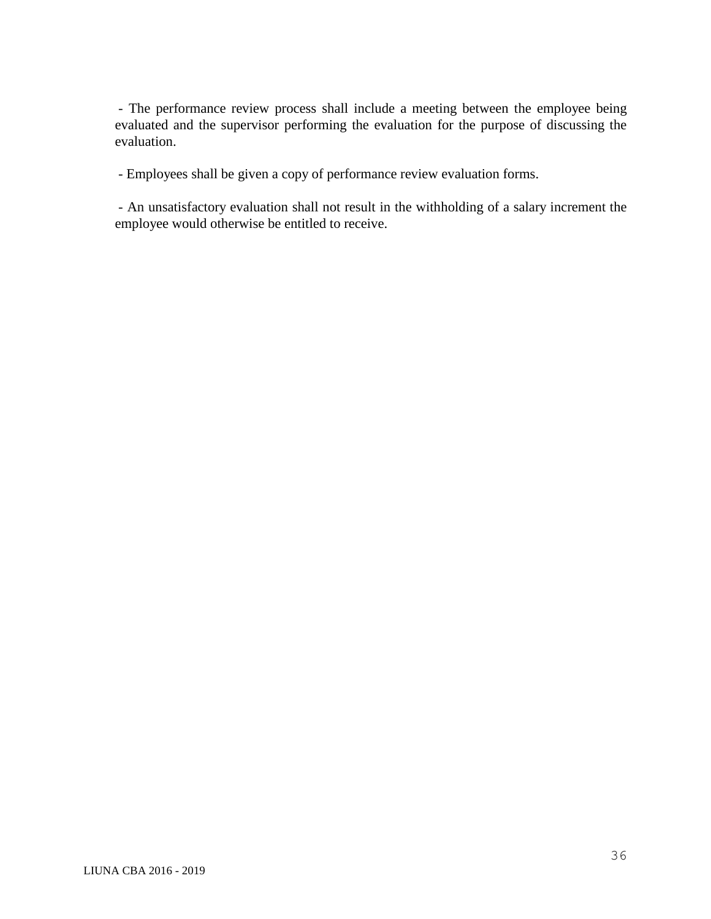- The performance review process shall include a meeting between the employee being evaluated and the supervisor performing the evaluation for the purpose of discussing the evaluation.

- Employees shall be given a copy of performance review evaluation forms.

- An unsatisfactory evaluation shall not result in the withholding of a salary increment the employee would otherwise be entitled to receive.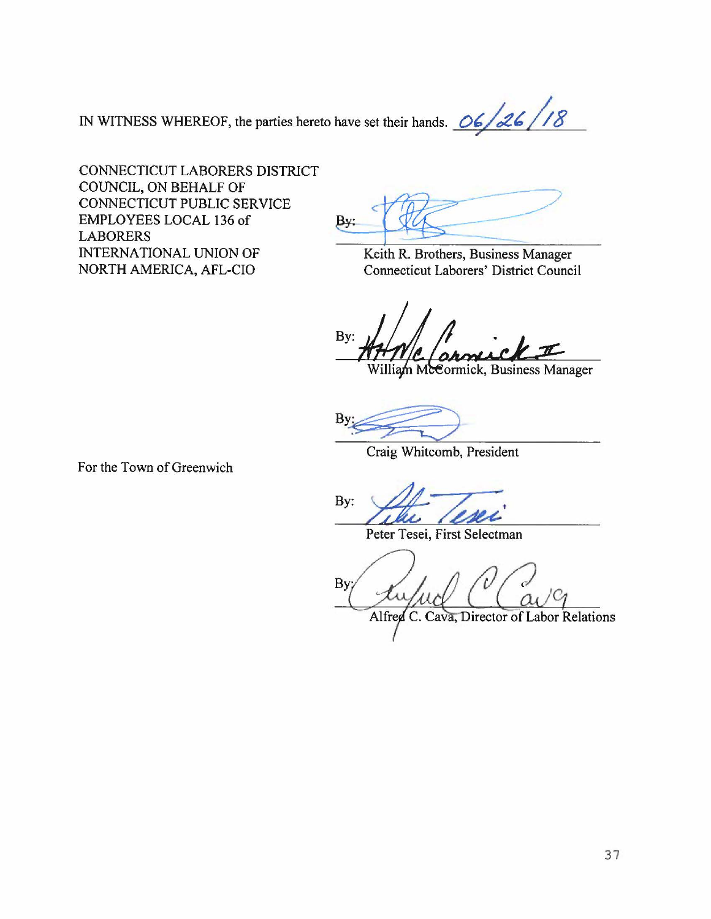IN WITNESS WHEREOF, the parties hereto have set their hands.  $\frac{06}{26}$  /18

CONNECTICUT LABORERS DISTRICT COUNCIL, ON BEHALF OF CONNECTICUT PUBLIC SERVICE EMPLOYEES LOCAL 136 of LABORERS INTERNATIONAL UNION OF NORTH AMERICA, AFL-CIO

By.

Keith R. Brothers, Business Manager Connecticut Laborers' District Council

By: William McCormick, Business Manager

Craig Whitcomb, President

For the Town of Greenwich

 $\mathcal{L}$ Ż.

Peter Tesei, First Selectman

**By** 

Alfred C. Cava, Director of Labor Relations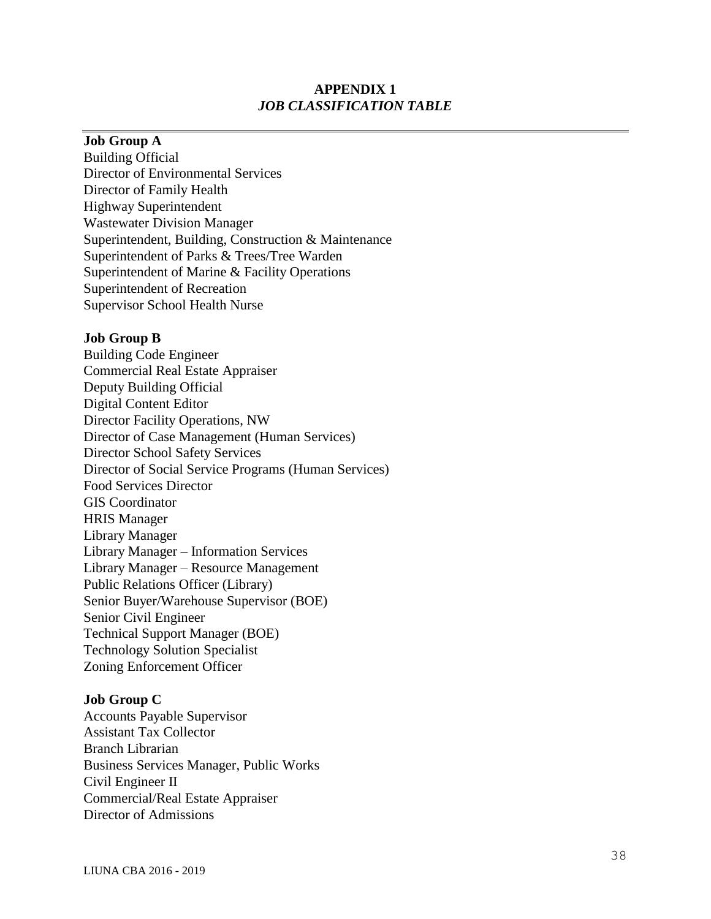### **APPENDIX 1**  *JOB CLASSIFICATION TABLE*

#### **Job Group A**

Building Official Director of Environmental Services Director of Family Health Highway Superintendent Wastewater Division Manager Superintendent, Building, Construction & Maintenance Superintendent of Parks & Trees/Tree Warden Superintendent of Marine & Facility Operations Superintendent of Recreation Supervisor School Health Nurse

#### **Job Group B**

Building Code Engineer Commercial Real Estate Appraiser Deputy Building Official Digital Content Editor Director Facility Operations, NW Director of Case Management (Human Services) Director School Safety Services Director of Social Service Programs (Human Services) Food Services Director GIS Coordinator HRIS Manager Library Manager Library Manager – Information Services Library Manager – Resource Management Public Relations Officer (Library) Senior Buyer/Warehouse Supervisor (BOE) Senior Civil Engineer Technical Support Manager (BOE) Technology Solution Specialist Zoning Enforcement Officer

#### **Job Group C**

Accounts Payable Supervisor Assistant Tax Collector Branch Librarian Business Services Manager, Public Works Civil Engineer II Commercial/Real Estate Appraiser Director of Admissions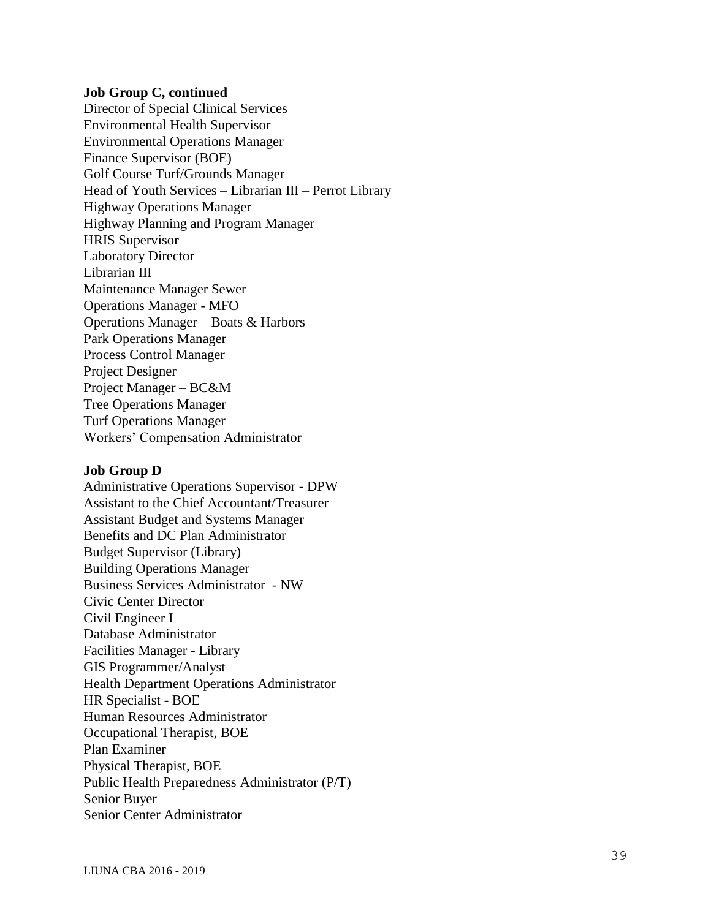#### **Job Group C, continued**

Director of Special Clinical Services Environmental Health Supervisor Environmental Operations Manager Finance Supervisor (BOE) Golf Course Turf/Grounds Manager Head of Youth Services - Librarian III - Perrot Library Highway Operations Manager Highway Planning and Program Manager HRIS Supervisor Laboratory Director Librarian III Maintenance Manager Sewer Operations Manager - MFO Operations Manager – Boats & Harbors Park Operations Manager Process Control Manager Project Designer Project Manager – BC&M Tree Operations Manager Turf Operations Manager Workers' Compensation Administrator

#### **Job Group D**

Administrative Operations Supervisor - DPW Assistant to the Chief Accountant/Treasurer Assistant Budget and Systems Manager Benefits and DC Plan Administrator Budget Supervisor (Library) Building Operations Manager Business Services Administrator - NW Civic Center Director Civil Engineer I Database Administrator Facilities Manager - Library GIS Programmer/Analyst Health Department Operations Administrator HR Specialist - BOE Human Resources Administrator Occupational Therapist, BOE Plan Examiner Physical Therapist, BOE Public Health Preparedness Administrator (P/T) Senior Buyer Senior Center Administrator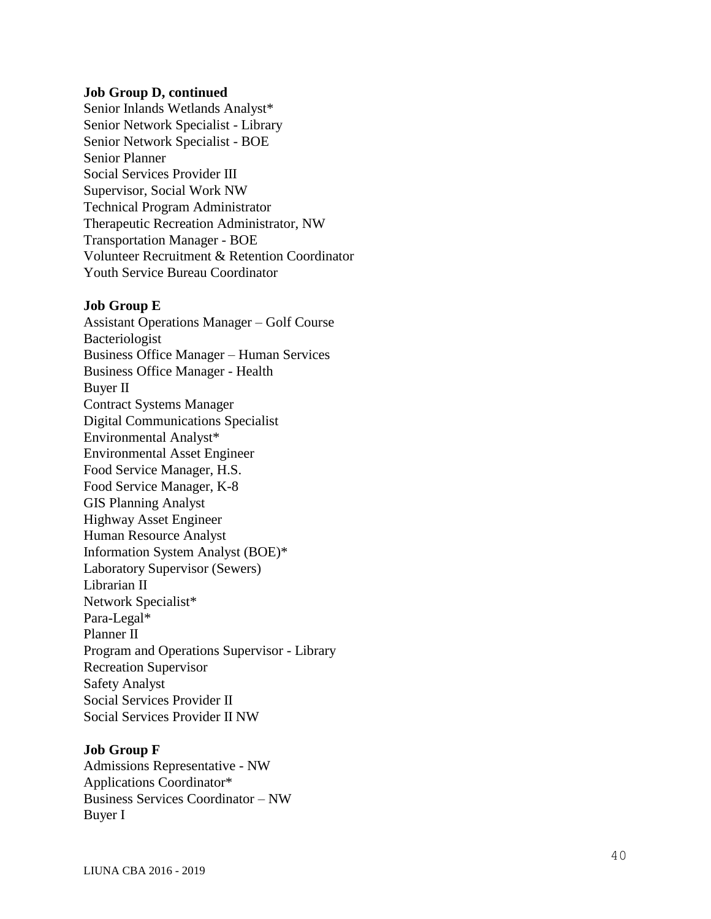#### **Job Group D, continued**

Senior Inlands Wetlands Analyst \* Senior Network Specialist - Library Senior Network Specialist - BOE Senior Planner Social Services Provider III Supervisor, Social Work NW Technical Program Administrator Therapeutic Recreation Administrator, NW Transportation Manager - BOE Volunteer Recruitment & Retention Coordinator Youth Service Bureau Coordinator

#### **Job Group E**

Assistant Operations Manager – Golf Course Bacteriologist Business Office Manager – Human Services Business Office Manager - Health Buyer II Contract Systems Manager Digital Communications Specialist Environmental Analyst \* Environmental Asset Engineer Food Service Manager , H.S. Food Service Manager, K-8 GIS Planning Analyst Highway Asset Engineer Human Resource Analyst Information System Analyst (BOE) \* Laboratory Supervisor (Sewers) Librarian II Network Specialist \* Para-Legal<sup>\*</sup> Planner II Program and Operations Supervisor - Library Recreation Supervisor Safety Analyst Social Services Provider II Social Services Provider II NW

#### **Job Group F**

Admissions Representative - NW Applications Coordinator \* Business Services Coordinator – NW Buyer I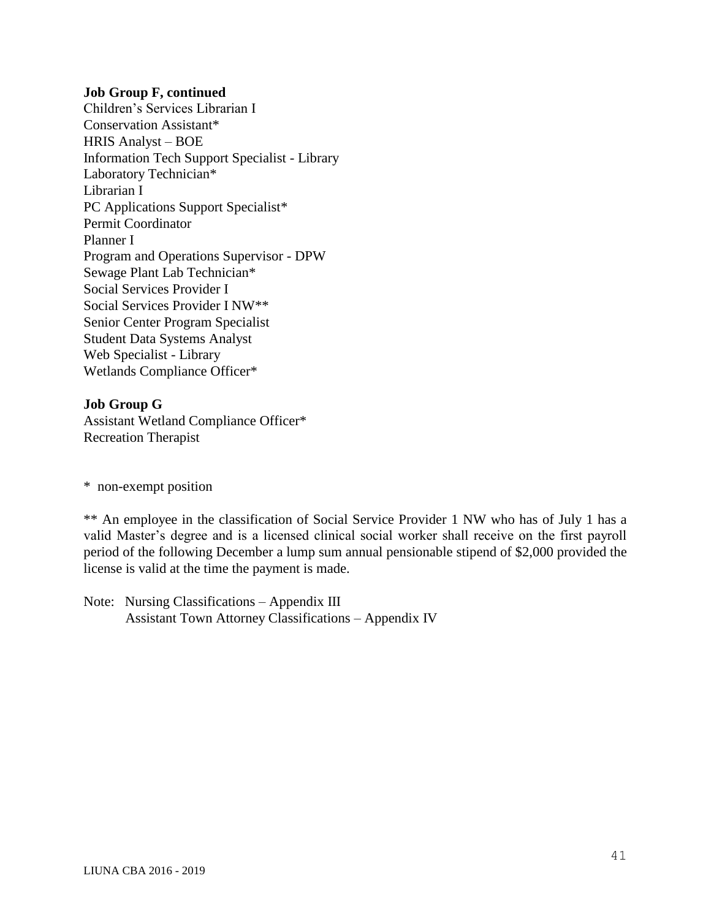#### **Job Group F, continued**

Children's Services Librarian I Conservation Assistant\* HRIS Analyst – BOE Information Tech Support Specialist - Library Laboratory Technician\* Librarian I PC Applications Support Specialist\* Permit Coordinator Planner I Program and Operations Supervisor - DPW Sewage Plant Lab Technician\* Social Services Provider I Social Services Provider I NW\*\* Senior Center Program Specialist Student Data Systems Analyst Web Specialist - Library Wetlands Compliance Officer\*

### **Job Group G** Assistant Wetland Compliance Officer\* Recreation Therapist

\* non-exempt position

\*\* An employee in the classification of Social Service Provider 1 NW who has of July 1 has a valid Master's degree and is a licensed clinical social worker shall receive on the first payroll period of the following December a lump sum annual pensionable stipend of \$2,000 provided the license is valid at the time the payment is made.

Note: Nursing Classifications – Appendix III Assistant Town Attorney Classifications – Appendix IV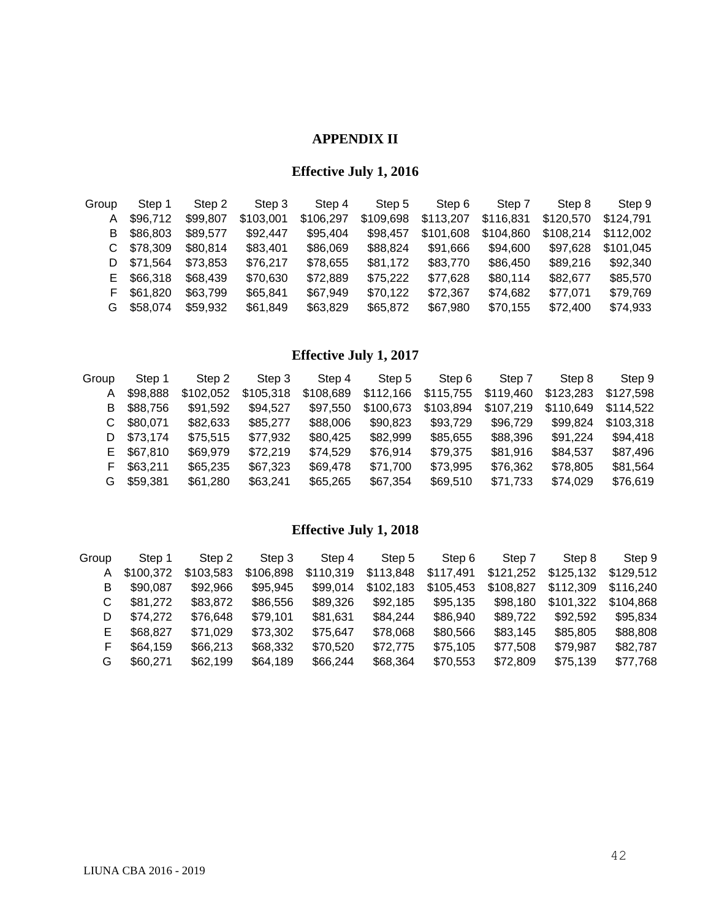## **APPENDIX II**

# **Effective July 1, 2016**

| Group | Step 1   | Step 2   | Step 3    | Step 4    | Step 5    | Step 6    | Step 7    | Step 8    | Step 9    |
|-------|----------|----------|-----------|-----------|-----------|-----------|-----------|-----------|-----------|
| А     | \$96,712 | \$99,807 | \$103,001 | \$106,297 | \$109,698 | \$113,207 | \$116,831 | \$120,570 | \$124,791 |
| В     | \$86,803 | \$89,577 | \$92,447  | \$95,404  | \$98,457  | \$101,608 | \$104,860 | \$108,214 | \$112.002 |
|       | \$78,309 | \$80,814 | \$83,401  | \$86,069  | \$88,824  | \$91,666  | \$94,600  | \$97,628  | \$101,045 |
| D     | \$71,564 | \$73,853 | \$76,217  | \$78,655  | \$81,172  | \$83,770  | \$86,450  | \$89,216  | \$92,340  |
| E.    | \$66,318 | \$68,439 | \$70,630  | \$72,889  | \$75,222  | \$77,628  | \$80,114  | \$82,677  | \$85,570  |
| F     | \$61,820 | \$63,799 | \$65,841  | \$67,949  | \$70,122  | \$72,367  | \$74,682  | \$77,071  | \$79,769  |
| G     | \$58,074 | \$59,932 | \$61,849  | \$63,829  | \$65,872  | \$67,980  | \$70,155  | \$72,400  | \$74,933  |
|       |          |          |           |           |           |           |           |           |           |

# **Effective July 1, 2017**

| Group | Step 1   | Step 2    | Step 3    | Step 4    | Step 5    | Step 6    | Step 7    | Step 8    | Step 9    |
|-------|----------|-----------|-----------|-----------|-----------|-----------|-----------|-----------|-----------|
| A     | \$98,888 | \$102,052 | \$105,318 | \$108,689 | \$112,166 | \$115,755 | \$119,460 | \$123,283 | \$127,598 |
| B.    | \$88,756 | \$91,592  | \$94,527  | \$97,550  | \$100,673 | \$103,894 | \$107,219 | \$110,649 | \$114,522 |
| C     | \$80,071 | \$82,633  | \$85,277  | \$88,006  | \$90,823  | \$93,729  | \$96,729  | \$99,824  | \$103,318 |
| D     | \$73,174 | \$75,515  | \$77,932  | \$80,425  | \$82,999  | \$85,655  | \$88,396  | \$91,224  | \$94,418  |
| E.    | \$67,810 | \$69,979  | \$72,219  | \$74,529  | \$76,914  | \$79,375  | \$81,916  | \$84,537  | \$87,496  |
| F.    | \$63,211 | \$65,235  | \$67,323  | \$69,478  | \$71,700  | \$73,995  | \$76,362  | \$78,805  | \$81,564  |
| G     | \$59,381 | \$61,280  | \$63,241  | \$65,265  | \$67,354  | \$69,510  | \$71,733  | \$74,029  | \$76,619  |

# **Effective July 1, 2018**

| Group | Step 1    | Step 2    | Step 3    | Step 4    | Step 5    | Step 6    | Step 7    | Step 8    | Step 9    |
|-------|-----------|-----------|-----------|-----------|-----------|-----------|-----------|-----------|-----------|
| A     | \$100.372 | \$103,583 | \$106,898 | \$110,319 | \$113,848 | \$117,491 | \$121,252 | \$125,132 | \$129,512 |
| B     | \$90,087  | \$92,966  | \$95,945  | \$99,014  | \$102,183 | \$105,453 | \$108,827 | \$112,309 | \$116,240 |
| C.    | \$81,272  | \$83,872  | \$86,556  | \$89,326  | \$92,185  | \$95,135  | \$98,180  | \$101,322 | \$104,868 |
| D     | \$74,272  | \$76,648  | \$79,101  | \$81,631  | \$84,244  | \$86,940  | \$89,722  | \$92,592  | \$95,834  |
| Е     | \$68,827  | \$71,029  | \$73,302  | \$75,647  | \$78,068  | \$80,566  | \$83,145  | \$85,805  | \$88,808  |
| F     | \$64,159  | \$66,213  | \$68,332  | \$70,520  | \$72,775  | \$75,105  | \$77,508  | \$79,987  | \$82,787  |
| G     | \$60,271  | \$62,199  | \$64,189  | \$66,244  | \$68,364  | \$70,553  | \$72,809  | \$75,139  | \$77,768  |
|       |           |           |           |           |           |           |           |           |           |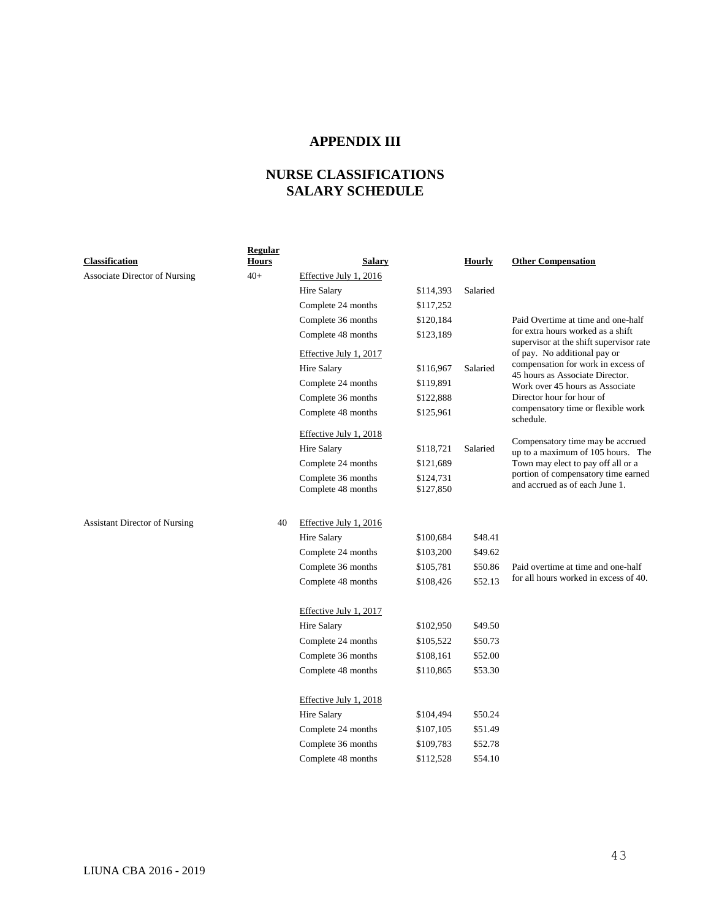## **APPENDIX III**

# **NURSE CLASSIFICATIONS SALARY SCHEDULE**

| Classification                       | <b>Regular</b><br><b>Hours</b> | <b>Salary</b>          |           | <b>Hourly</b> | <b>Other Compensation</b>                                                   |
|--------------------------------------|--------------------------------|------------------------|-----------|---------------|-----------------------------------------------------------------------------|
| Associate Director of Nursing        | $40+$                          | Effective July 1, 2016 |           |               |                                                                             |
|                                      |                                | <b>Hire Salary</b>     | \$114,393 | Salaried      |                                                                             |
|                                      |                                | Complete 24 months     | \$117,252 |               |                                                                             |
|                                      |                                | Complete 36 months     | \$120,184 |               | Paid Overtime at time and one-half                                          |
|                                      |                                | Complete 48 months     | \$123,189 |               | for extra hours worked as a shift                                           |
|                                      |                                | Effective July 1, 2017 |           |               | supervisor at the shift supervisor rate<br>of pay. No additional pay or     |
|                                      |                                | <b>Hire Salary</b>     | \$116,967 | Salaried      | compensation for work in excess of<br>45 hours as Associate Director.       |
|                                      |                                | Complete 24 months     | \$119,891 |               | Work over 45 hours as Associate                                             |
|                                      |                                | Complete 36 months     | \$122,888 |               | Director hour for hour of                                                   |
|                                      |                                | Complete 48 months     | \$125,961 |               | compensatory time or flexible work<br>schedule.                             |
|                                      |                                | Effective July 1, 2018 |           |               |                                                                             |
|                                      |                                | <b>Hire Salary</b>     | \$118,721 | Salaried      | Compensatory time may be accrued<br>up to a maximum of 105 hours. The       |
|                                      |                                | Complete 24 months     | \$121,689 |               | Town may elect to pay off all or a                                          |
|                                      |                                | Complete 36 months     | \$124,731 |               | portion of compensatory time earned                                         |
|                                      |                                | Complete 48 months     | \$127,850 |               | and accrued as of each June 1.                                              |
|                                      |                                |                        |           |               |                                                                             |
| <b>Assistant Director of Nursing</b> | 40                             | Effective July 1, 2016 |           |               |                                                                             |
|                                      |                                | <b>Hire Salary</b>     | \$100,684 | \$48.41       |                                                                             |
|                                      |                                | Complete 24 months     | \$103,200 | \$49.62       |                                                                             |
|                                      |                                | Complete 36 months     | \$105,781 | \$50.86       | Paid overtime at time and one-half<br>for all hours worked in excess of 40. |
|                                      |                                | Complete 48 months     | \$108,426 | \$52.13       |                                                                             |
|                                      |                                | Effective July 1, 2017 |           |               |                                                                             |
|                                      |                                | <b>Hire Salary</b>     | \$102,950 | \$49.50       |                                                                             |
|                                      |                                | Complete 24 months     | \$105,522 | \$50.73       |                                                                             |
|                                      |                                | Complete 36 months     | \$108,161 | \$52.00       |                                                                             |
|                                      |                                | Complete 48 months     | \$110,865 | \$53.30       |                                                                             |
|                                      |                                | Effective July 1, 2018 |           |               |                                                                             |
|                                      |                                | <b>Hire Salary</b>     | \$104,494 | \$50.24       |                                                                             |
|                                      |                                | Complete 24 months     | \$107,105 | \$51.49       |                                                                             |
|                                      |                                | Complete 36 months     | \$109,783 | \$52.78       |                                                                             |
|                                      |                                | Complete 48 months     | \$112,528 | \$54.10       |                                                                             |
|                                      |                                |                        |           |               |                                                                             |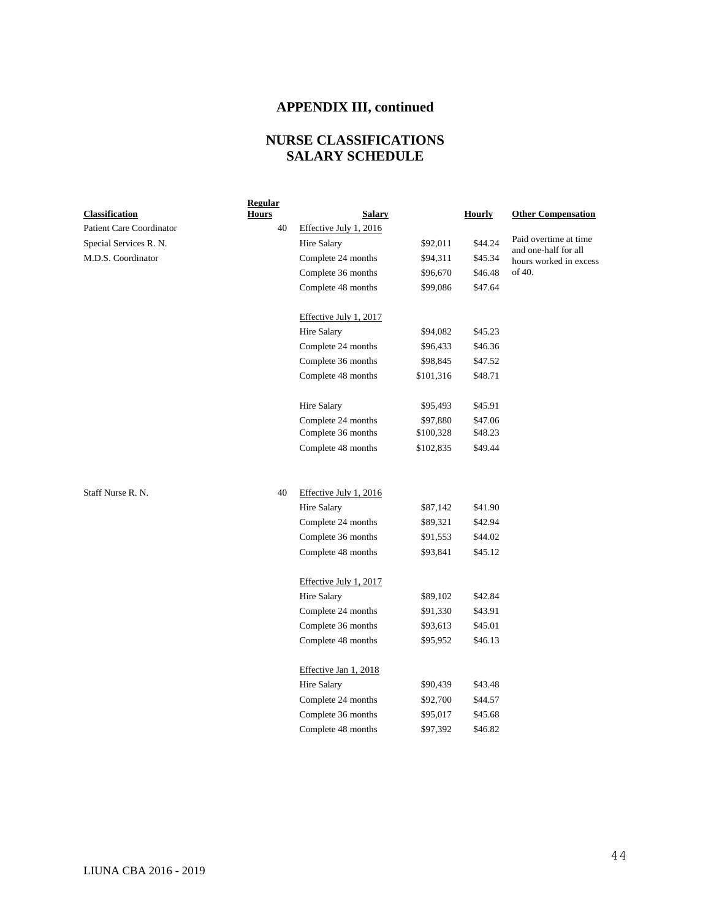## **APPENDIX III, continued**

## **NURSE CLASSIFICATIONS SALARY SCHEDULE**

|                          | Regular      |                        |           |               |                                               |
|--------------------------|--------------|------------------------|-----------|---------------|-----------------------------------------------|
| <b>Classification</b>    | <b>Hours</b> | <b>Salary</b>          |           | <b>Hourly</b> | <b>Other Compensation</b>                     |
| Patient Care Coordinator | 40           | Effective July 1, 2016 |           |               |                                               |
| Special Services R. N.   |              | Hire Salary            | \$92,011  | \$44.24       | Paid overtime at time<br>and one-half for all |
| M.D.S. Coordinator       |              | Complete 24 months     | \$94,311  | \$45.34       | hours worked in excess                        |
|                          |              | Complete 36 months     | \$96,670  | \$46.48       | of 40.                                        |
|                          |              | Complete 48 months     | \$99,086  | \$47.64       |                                               |
|                          |              | Effective July 1, 2017 |           |               |                                               |
|                          |              | Hire Salary            | \$94,082  | \$45.23       |                                               |
|                          |              | Complete 24 months     | \$96,433  | \$46.36       |                                               |
|                          |              | Complete 36 months     | \$98,845  | \$47.52       |                                               |
|                          |              | Complete 48 months     | \$101,316 | \$48.71       |                                               |
|                          |              | Hire Salary            | \$95,493  | \$45.91       |                                               |
|                          |              | Complete 24 months     | \$97,880  | \$47.06       |                                               |
|                          |              | Complete 36 months     | \$100,328 | \$48.23       |                                               |
|                          |              | Complete 48 months     | \$102,835 | \$49.44       |                                               |
| Staff Nurse R. N.        | 40           | Effective July 1, 2016 |           |               |                                               |
|                          |              | Hire Salary            | \$87,142  | \$41.90       |                                               |
|                          |              | Complete 24 months     | \$89,321  | \$42.94       |                                               |
|                          |              | Complete 36 months     | \$91,553  | \$44.02       |                                               |
|                          |              | Complete 48 months     | \$93,841  | \$45.12       |                                               |
|                          |              | Effective July 1, 2017 |           |               |                                               |
|                          |              | Hire Salary            | \$89,102  | \$42.84       |                                               |
|                          |              | Complete 24 months     | \$91,330  | \$43.91       |                                               |
|                          |              | Complete 36 months     | \$93,613  | \$45.01       |                                               |
|                          |              | Complete 48 months     | \$95,952  | \$46.13       |                                               |
|                          |              | Effective Jan 1, 2018  |           |               |                                               |
|                          |              | Hire Salary            | \$90,439  | \$43.48       |                                               |
|                          |              | Complete 24 months     | \$92,700  | \$44.57       |                                               |
|                          |              | Complete 36 months     | \$95,017  | \$45.68       |                                               |
|                          |              | Complete 48 months     | \$97,392  | \$46.82       |                                               |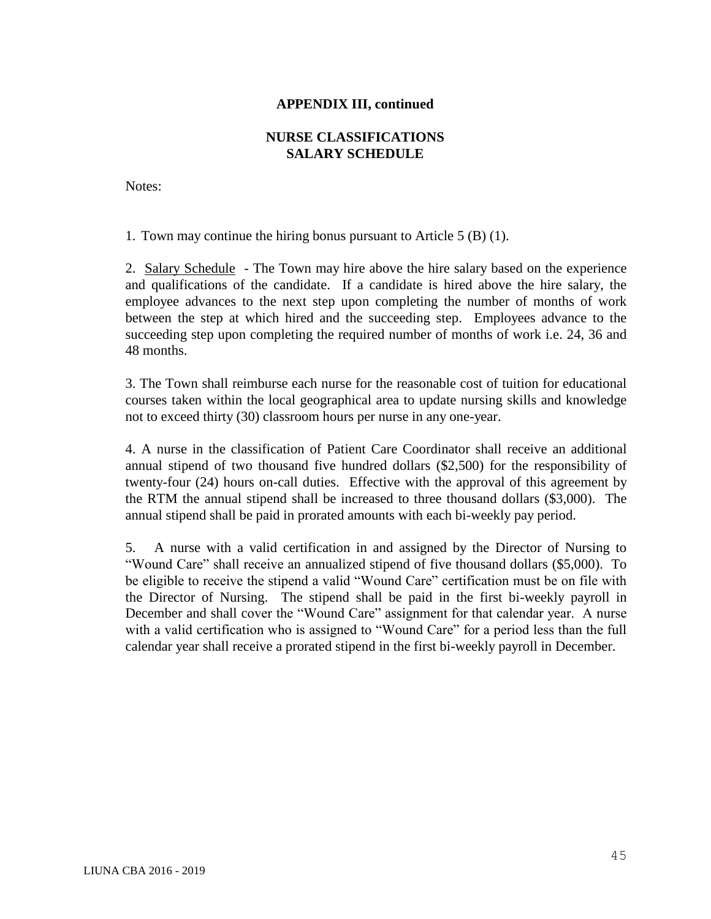### **APPENDIX III, continued**

## **NURSE CLASSIFICATIONS SALARY SCHEDULE**

Notes:

1. Town may continue the hiring bonus pursuant to Article 5 (B) (1).

2. Salary Schedule - The Town may hire above the hire salary based on the experience and qualifications of the candidate. If a candidate is hired above the hire salary, the employee advances to the next step upon completing the number of months of work between the step at which hired and the succeeding step. Employees advance to the succeeding step upon completing the required number of months of work i.e. 24, 36 and 48 months.

3. The Town shall reimburse each nurse for the reasonable cost of tuition for educational courses taken within the local geographical area to update nursing skills and knowledge not to exceed thirty (30) classroom hours per nurse in any one-year.

4. A nurse in the classification of Patient Care Coordinator shall receive an additional annual stipend of two thousand five hundred dollars (\$2,500) for the responsibility of twenty-four (24) hours on-call duties. Effective with the approval of this agreement by the RTM the annual stipend shall be increased to three thousand dollars (\$3,000). The annual stipend shall be paid in prorated amounts with each bi-weekly pay period.

5. A nurse with a valid certification in and assigned by the Director of Nursing to "Wound Care" shall receive an annualized stipend of five thousand dollars (\$5,000). To be eligible to receive the stipend a valid "Wound Care" certification must be on file with the Director of Nursing. The stipend shall be paid in the first bi-weekly payroll in December and shall cover the "Wound Care" assignment for that calendar year. A nurse with a valid certification who is assigned to "Wound Care" for a period less than the full calendar year shall receive a prorated stipend in the first bi-weekly payroll in December.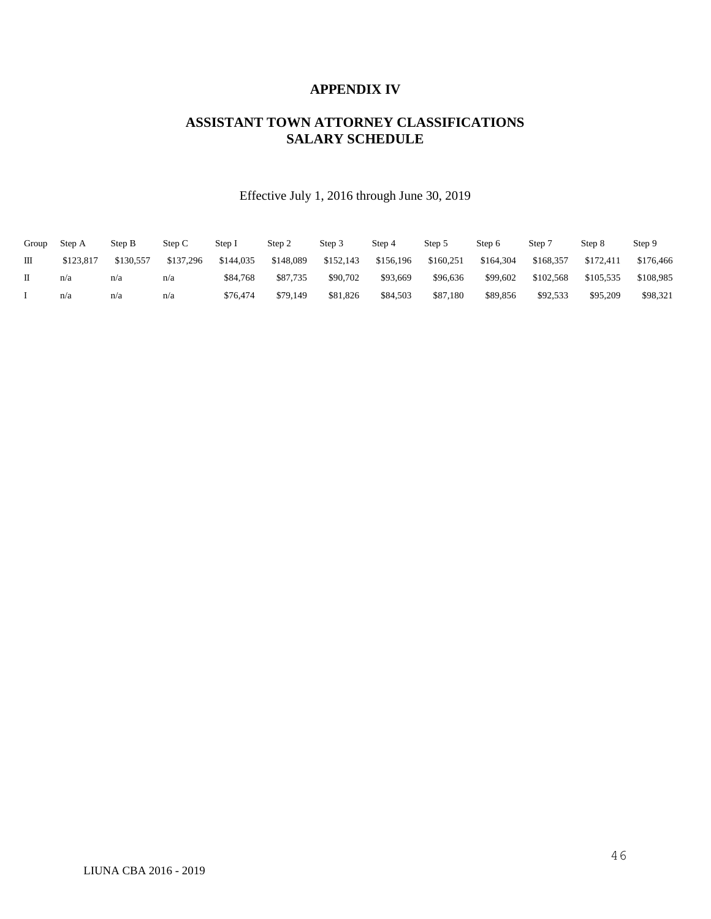#### **APPENDIX IV**

## **ASSISTANT TOWN ATTORNEY CLASSIFICATIONS SALARY SCHEDULE**

## Effective July 1, 2016 through June 30, 2019

| Group | Step A    | Step B    | Step C    | Step I    | Step 2    | Step 3    | Step 4    | Step 5    | Step 6    | Step <sup>-</sup> | Step 8    | Step 9    |
|-------|-----------|-----------|-----------|-----------|-----------|-----------|-----------|-----------|-----------|-------------------|-----------|-----------|
| Ш     | \$123.817 | \$130,557 | \$137.296 | \$144,035 | \$148,089 | \$152,143 | \$156.196 | \$160.251 | \$164,304 | \$168,357         | \$172.411 | \$176,466 |
|       | n/a       | n/a       | n/a       | \$84,768  | \$87,735  | \$90,702  | \$93,669  | \$96,636  | \$99,602  | \$102,568         | \$105.535 | \$108.985 |
|       | n/a       | n/a       | n/a       | \$76,474  | \$79,149  | \$81,826  | \$84,503  | \$87,180  | \$89.856  | \$92,533          | \$95,209  | \$98,321  |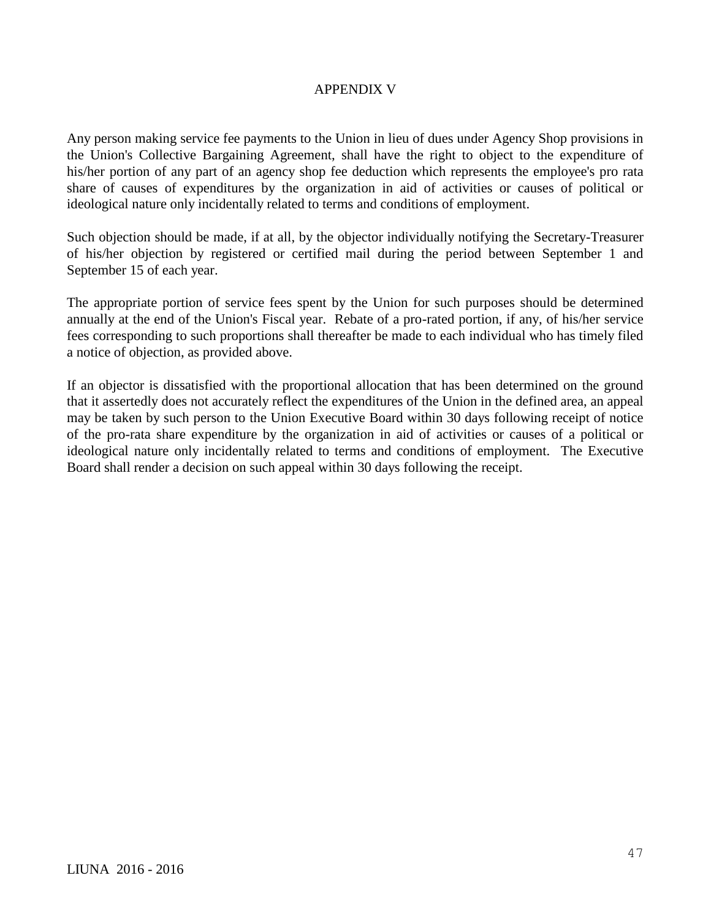### APPENDIX V

Any person making service fee payments to the Union in lieu of dues under Agency Shop provisions in the Union's Collective Bargaining Agreement, shall have the right to object to the expenditure of his/her portion of any part of an agency shop fee deduction which represents the employee's pro rata share of causes of expenditures by the organization in aid of activities or causes of political or ideological nature only incidentally related to terms and conditions of employment.

Such objection should be made, if at all, by the objector individually notifying the Secretary-Treasurer of his/her objection by registered or certified mail during the period between September 1 and September 15 of each year.

The appropriate portion of service fees spent by the Union for such purposes should be determined annually at the end of the Union's Fiscal year. Rebate of a pro-rated portion, if any, of his/her service fees corresponding to such proportions shall thereafter be made to each individual who has timely filed a notice of objection, as provided above.

If an objector is dissatisfied with the proportional allocation that has been determined on the ground that it assertedly does not accurately reflect the expenditures of the Union in the defined area, an appeal may be taken by such person to the Union Executive Board within 30 days following receipt of notice of the pro-rata share expenditure by the organization in aid of activities or causes of a political or ideological nature only incidentally related to terms and conditions of employment. The Executive Board shall render a decision on such appeal within 30 days following the receipt.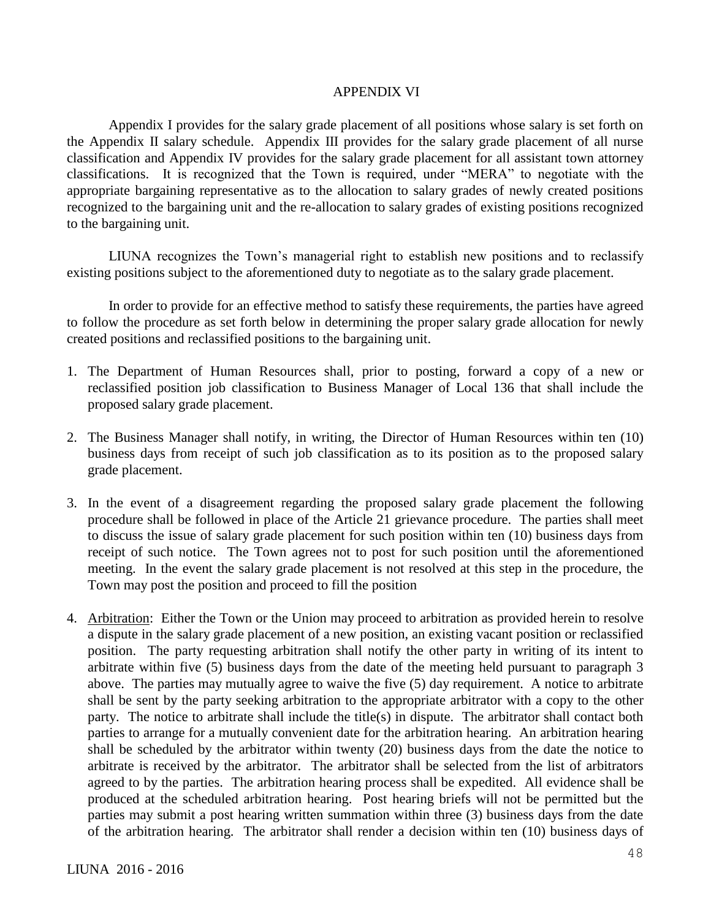#### APPENDIX VI

Appendix I provides for the salary grade placement of all positions whose salary is set forth on the Appendix II salary schedule. Appendix III provides for the salary grade placement of all nurse classification and Appendix IV provides for the salary grade placement for all assistant town attorney classifications. It is recognized that the Town is required, under "MERA" to negotiate with the appropriate bargaining representative as to the allocation to salary grades of newly created positions recognized to the bargaining unit and the re-allocation to salary grades of existing positions recognized to the bargaining unit.

LIUNA recognizes the Town's managerial right to establish new positions and to reclassify existing positions subject to the aforementioned duty to negotiate as to the salary grade placement.

In order to provide for an effective method to satisfy these requirements, the parties have agreed to follow the procedure as set forth below in determining the proper salary grade allocation for newly created positions and reclassified positions to the bargaining unit.

- 1. The Department of Human Resources shall, prior to posting, forward a copy of a new or reclassified position job classification to Business Manager of Local 136 that shall include the proposed salary grade placement.
- 2. The Business Manager shall notify, in writing, the Director of Human Resources within ten (10) business days from receipt of such job classification as to its position as to the proposed salary grade placement.
- 3. In the event of a disagreement regarding the proposed salary grade placement the following procedure shall be followed in place of the Article 21 grievance procedure. The parties shall meet to discuss the issue of salary grade placement for such position within ten (10) business days from receipt of such notice. The Town agrees not to post for such position until the aforementioned meeting. In the event the salary grade placement is not resolved at this step in the procedure, the Town may post the position and proceed to fill the position
- 4. Arbitration: Either the Town or the Union may proceed to arbitration as provided herein to resolve a dispute in the salary grade placement of a new position, an existing vacant position or reclassified position. The party requesting arbitration shall notify the other party in writing of its intent to arbitrate within five (5) business days from the date of the meeting held pursuant to paragraph 3 above. The parties may mutually agree to waive the five (5) day requirement. A notice to arbitrate shall be sent by the party seeking arbitration to the appropriate arbitrator with a copy to the other party. The notice to arbitrate shall include the title(s) in dispute. The arbitrator shall contact both parties to arrange for a mutually convenient date for the arbitration hearing. An arbitration hearing shall be scheduled by the arbitrator within twenty (20) business days from the date the notice to arbitrate is received by the arbitrator. The arbitrator shall be selected from the list of arbitrators agreed to by the parties. The arbitration hearing process shall be expedited. All evidence shall be produced at the scheduled arbitration hearing. Post hearing briefs will not be permitted but the parties may submit a post hearing written summation within three (3) business days from the date of the arbitration hearing. The arbitrator shall render a decision within ten (10) business days of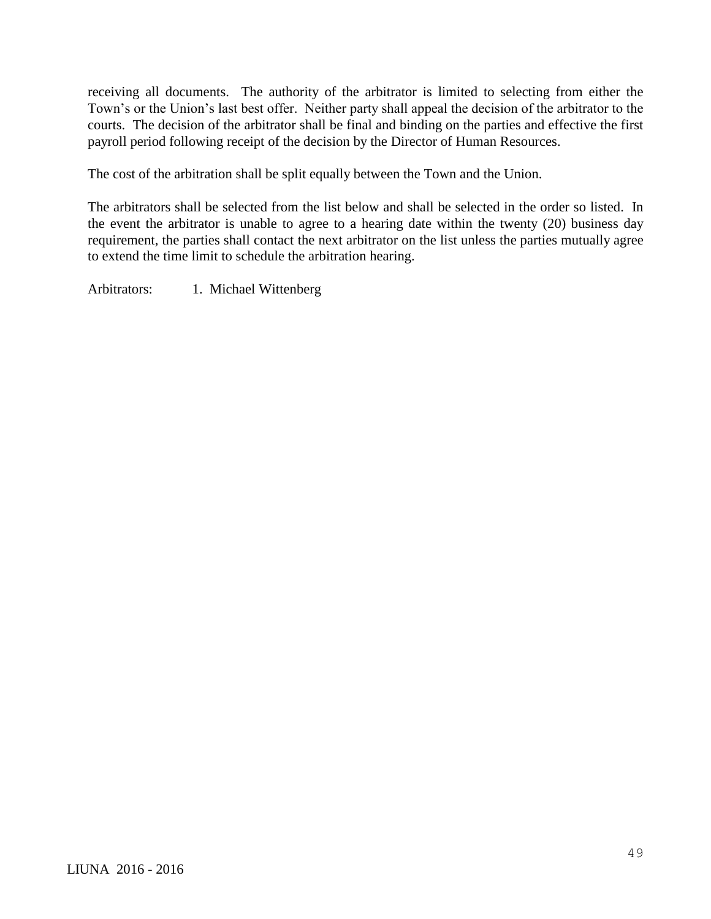receiving all documents. The authority of the arbitrator is limited to selecting from either the Town's or the Union's last best offer. Neither party shall appeal the decision of the arbitrator to the courts. The decision of the arbitrator shall be final and binding on the parties and effective the first payroll period following receipt of the decision by the Director of Human Resources.

The cost of the arbitration shall be split equally between the Town and the Union.

The arbitrators shall be selected from the list below and shall be selected in the order so listed. In the event the arbitrator is unable to agree to a hearing date within the twenty (20) business day requirement, the parties shall contact the next arbitrator on the list unless the parties mutually agree to extend the time limit to schedule the arbitration hearing.

Arbitrators: 1. Michael Wittenberg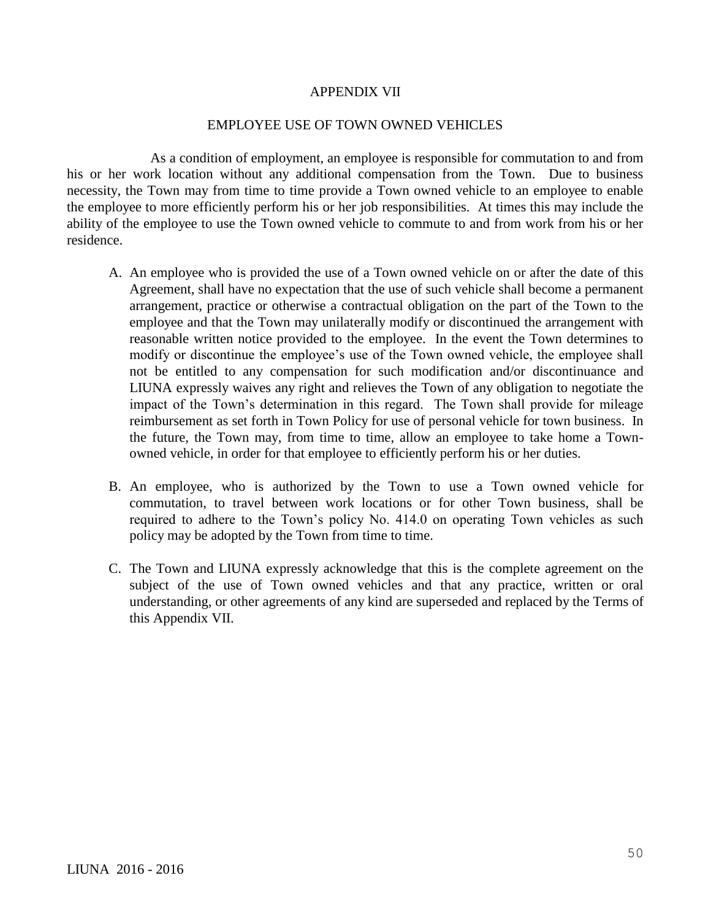#### APPENDIX VII

#### EMPLOYEE USE OF TOWN OWNED VEHICLES

As a condition of employment, an employee is responsible for commutation to and from his or her work location without any additional compensation from the Town. Due to business necessity, the Town may from time to time provide a Town owned vehicle to an employee to enable the employee to more efficiently perform his or her job responsibilities. At times this may include the ability of the employee to use the Town owned vehicle to commute to and from work from his or her residence.

- A. An employee who is provided the use of a Town owned vehicle on or after the date of this Agreement, shall have no expectation that the use of such vehicle shall become a permanent arrangement, practice or otherwise a contractual obligation on the part of the Town to the employee and that the Town may unilaterally modify or discontinued the arrangement with reasonable written notice provided to the employee. In the event the Town determines to modify or discontinue the employee's use of the Town owned vehicle, the employee shall not be entitled to any compensation for such modification and/or discontinuance and LIUNA expressly waives any right and relieves the Town of any obligation to negotiate the impact of the Town's determination in this regard. The Town shall provide for mileage reimbursement as set forth in Town Policy for use of personal vehicle for town business. In the future, the Town may, from time to time, allow an employee to take home a Townowned vehicle, in order for that employee to efficiently perform his or her duties.
- B. An employee, who is authorized by the Town to use a Town owned vehicle for commutation, to travel between work locations or for other Town business, shall be required to adhere to the Town's policy No. 414.0 on operating Town vehicles as such policy may be adopted by the Town from time to time.
- C. The Town and LIUNA expressly acknowledge that this is the complete agreement on the subject of the use of Town owned vehicles and that any practice, written or oral understanding, or other agreements of any kind are superseded and replaced by the Terms of this Appendix VII.